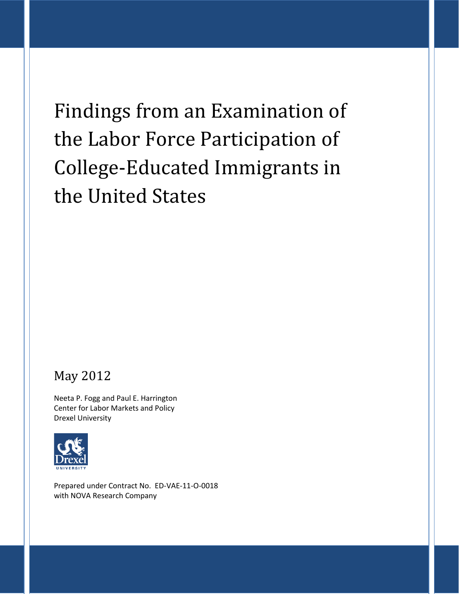# Findings from an Examination of the Labor Force Participation of College-Educated Immigrants in the United States

# May 2012

Neeta P. Fogg and Paul E. Harrington Center for Labor Markets and Policy Drexel University



Prepared under Contract No. ED-VAE-11-O-0018 with NOVA Research Company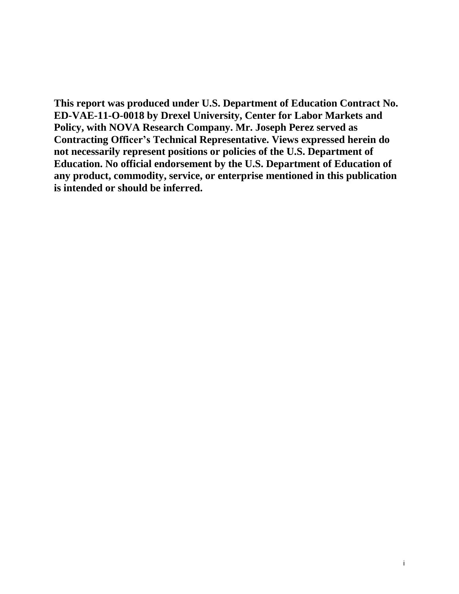**This report was produced under U.S. Department of Education Contract No. ED-VAE-11-O-0018 by Drexel University, Center for Labor Markets and Policy, with NOVA Research Company. Mr. Joseph Perez served as Contracting Officer's Technical Representative. Views expressed herein do not necessarily represent positions or policies of the U.S. Department of Education. No official endorsement by the U.S. Department of Education of any product, commodity, service, or enterprise mentioned in this publication is intended or should be inferred.**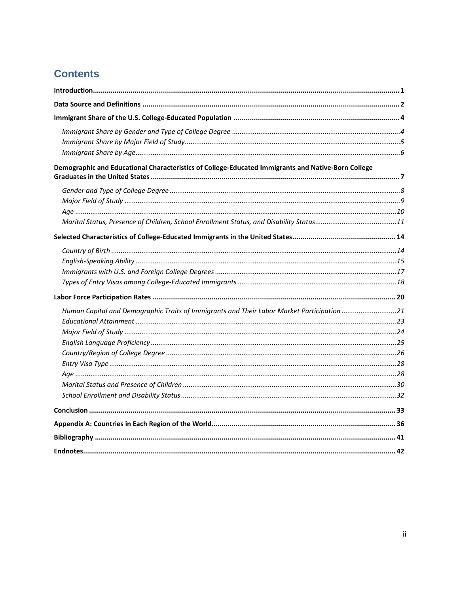# **Contents**

| Demographic and Educational Characteristics of College-Educated Immigrants and Native-Born College |  |
|----------------------------------------------------------------------------------------------------|--|
|                                                                                                    |  |
|                                                                                                    |  |
|                                                                                                    |  |
|                                                                                                    |  |
|                                                                                                    |  |
|                                                                                                    |  |
|                                                                                                    |  |
|                                                                                                    |  |
|                                                                                                    |  |
|                                                                                                    |  |
| Human Capital and Demographic Traits of Immigrants and Their Labor Market Participation 21         |  |
|                                                                                                    |  |
|                                                                                                    |  |
|                                                                                                    |  |
|                                                                                                    |  |
|                                                                                                    |  |
|                                                                                                    |  |
|                                                                                                    |  |
|                                                                                                    |  |
|                                                                                                    |  |
|                                                                                                    |  |
|                                                                                                    |  |
|                                                                                                    |  |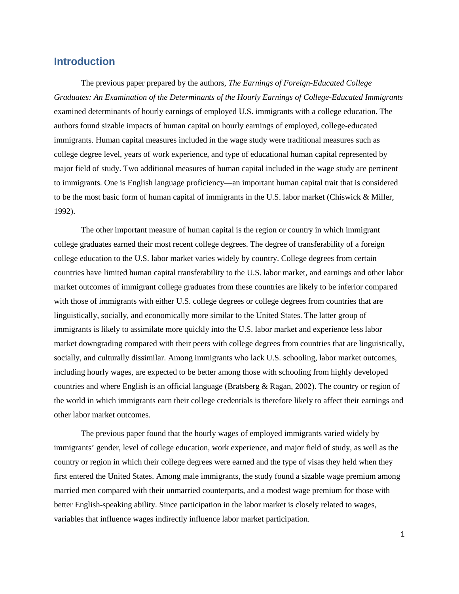## <span id="page-3-0"></span>**Introduction**

The previous paper prepared by the authors, *The Earnings of Foreign-Educated College Graduates: An Examination of the Determinants of the Hourly Earnings of College-Educated Immigrants*  examined determinants of hourly earnings of employed U.S. immigrants with a college education. The authors found sizable impacts of human capital on hourly earnings of employed, college-educated immigrants. Human capital measures included in the wage study were traditional measures such as college degree level, years of work experience, and type of educational human capital represented by major field of study. Two additional measures of human capital included in the wage study are pertinent to immigrants. One is English language proficiency—an important human capital trait that is considered to be the most basic form of human capital of immigrants in the U.S. labor market (Chiswick & Miller, 1992).

The other important measure of human capital is the region or country in which immigrant college graduates earned their most recent college degrees. The degree of transferability of a foreign college education to the U.S. labor market varies widely by country. College degrees from certain countries have limited human capital transferability to the U.S. labor market, and earnings and other labor market outcomes of immigrant college graduates from these countries are likely to be inferior compared with those of immigrants with either U.S. college degrees or college degrees from countries that are linguistically, socially, and economically more similar to the United States. The latter group of immigrants is likely to assimilate more quickly into the U.S. labor market and experience less labor market downgrading compared with their peers with college degrees from countries that are linguistically, socially, and culturally dissimilar. Among immigrants who lack U.S. schooling, labor market outcomes, including hourly wages, are expected to be better among those with schooling from highly developed countries and where English is an official language (Bratsberg & Ragan, 2002). The country or region of the world in which immigrants earn their college credentials is therefore likely to affect their earnings and other labor market outcomes.

The previous paper found that the hourly wages of employed immigrants varied widely by immigrants' gender, level of college education, work experience, and major field of study, as well as the country or region in which their college degrees were earned and the type of visas they held when they first entered the United States. Among male immigrants, the study found a sizable wage premium among married men compared with their unmarried counterparts, and a modest wage premium for those with better English-speaking ability. Since participation in the labor market is closely related to wages, variables that influence wages indirectly influence labor market participation.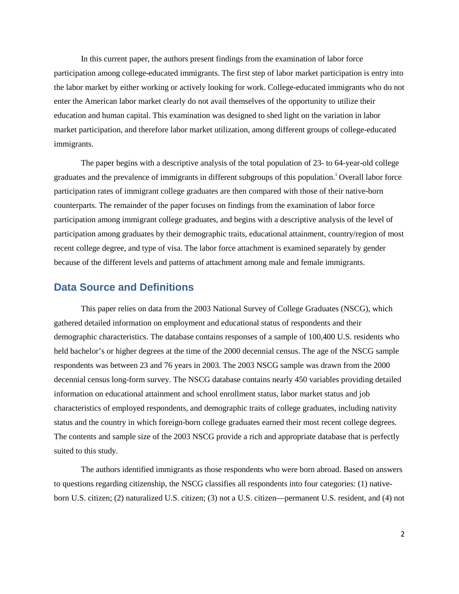In this current paper, the authors present findings from the examination of labor force participation among college-educated immigrants. The first step of labor market participation is entry into the labor market by either working or actively looking for work. College-educated immigrants who do not enter the American labor market clearly do not avail themselves of the opportunity to utilize their education and human capital. This examination was designed to shed light on the variation in labor market participation, and therefore labor market utilization, among different groups of college-educated immigrants.

The paper begins with a descriptive analysis of the total population of 23- to 64-year-old college graduates and the prevalence of [i](#page-44-1)mmigrants in different subgroups of this population.<sup>1</sup> Overall labor force participation rates of immigrant college graduates are then compared with those of their native-born counterparts. The remainder of the paper focuses on findings from the examination of labor force participation among immigrant college graduates, and begins with a descriptive analysis of the level of participation among graduates by their demographic traits, educational attainment, country/region of most recent college degree, and type of visa. The labor force attachment is examined separately by gender because of the different levels and patterns of attachment among male and female immigrants.

#### <span id="page-4-0"></span>**Data Source and Definitions**

This paper relies on data from the 2003 National Survey of College Graduates (NSCG), which gathered detailed information on employment and educational status of respondents and their demographic characteristics. The database contains responses of a sample of 100,400 U.S. residents who held bachelor's or higher degrees at the time of the 2000 decennial census. The age of the NSCG sample respondents was between 23 and 76 years in 2003. The 2003 NSCG sample was drawn from the 2000 decennial census long-form survey. The NSCG database contains nearly 450 variables providing detailed information on educational attainment and school enrollment status, labor market status and job characteristics of employed respondents, and demographic traits of college graduates, including nativity status and the country in which foreign-born college graduates earned their most recent college degrees. The contents and sample size of the 2003 NSCG provide a rich and appropriate database that is perfectly suited to this study.

The authors identified immigrants as those respondents who were born abroad. Based on answers to questions regarding citizenship, the NSCG classifies all respondents into four categories: (1) nativeborn U.S. citizen; (2) naturalized U.S. citizen; (3) not a U.S. citizen—permanent U.S. resident, and (4) not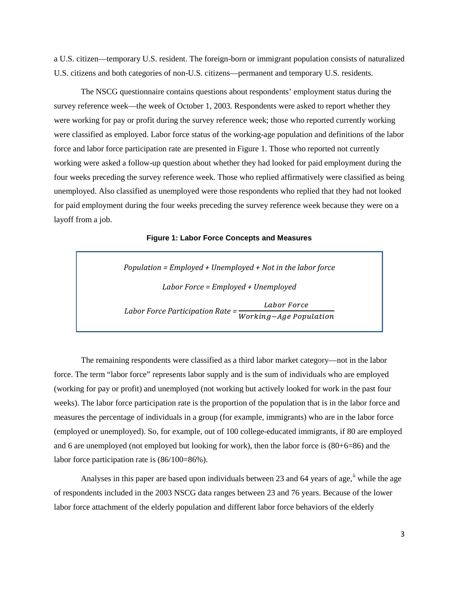a U.S. citizen—temporary U.S. resident. The foreign-born or immigrant population consists of naturalized U.S. citizens and both categories of non-U.S. citizens—permanent and temporary U.S. residents.

The NSCG questionnaire contains questions about respondents' employment status during the survey reference week—the week of October 1, 2003. Respondents were asked to report whether they were working for pay or profit during the survey reference week; those who reported currently working were classified as employed. Labor force status of the working-age population and definitions of the labor force and labor force participation rate are presented in Figure 1. Those who reported not currently working were asked a follow-up question about whether they had looked for paid employment during the four weeks preceding the survey reference week. Those who replied affirmatively were classified as being unemployed. Also classified as unemployed were those respondents who replied that they had not looked for paid employment during the four weeks preceding the survey reference week because they were on a layoff from a job.

**Figure 1: Labor Force Concepts and Measures**

*Population = Employed + Unemployed + Not in the labor force Labor Force = Employed + Unemployed Labor Force Participation Rate =*  Working−Age Population

The remaining respondents were classified as a third labor market category—not in the labor force. The term "labor force" represents labor supply and is the sum of individuals who are employed (working for pay or profit) and unemployed (not working but actively looked for work in the past four weeks). The labor force participation rate is the proportion of the population that is in the labor force and measures the percentage of individuals in a group (for example, immigrants) who are in the labor force (employed or unemployed). So, for example, out of 100 college-educated immigrants, if 80 are employed and 6 are unemployed (not employed but looking for work), then the labor force is (80+6=86) and the labor force participation rate is (86/100=86%).

Analyses in this paper are based upon individuals between 23 and 64 years of age, if while the age of respondents included in the 2003 NSCG data ranges between 23 and 76 years. Because of the lower labor force attachment of the elderly population and different labor force behaviors of the elderly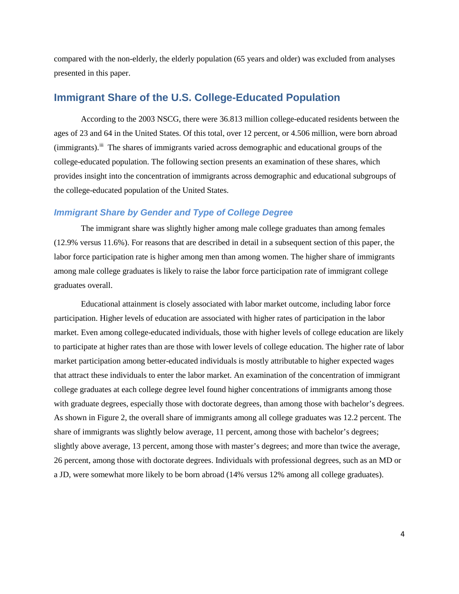compared with the non-elderly, the elderly population (65 years and older) was excluded from analyses presented in this paper.

# <span id="page-6-0"></span>**Immigrant Share of the U.S. College-Educated Population**

According to the 2003 NSCG, there were 36.813 million college-educated residents between the ages of 23 and 64 in the United States. Of this total, over 12 percent, or 4.506 million, were born abroad (immigrants).<sup>[iii](#page-44-3)</sup> The shares of immigrants varied across demographic and educational groups of the college-educated population. The following section presents an examination of these shares, which provides insight into the concentration of immigrants across demographic and educational subgroups of the college-educated population of the United States.

#### <span id="page-6-1"></span>*Immigrant Share by Gender and Type of College Degree*

The immigrant share was slightly higher among male college graduates than among females (12.9% versus 11.6%). For reasons that are described in detail in a subsequent section of this paper, the labor force participation rate is higher among men than among women. The higher share of immigrants among male college graduates is likely to raise the labor force participation rate of immigrant college graduates overall.

Educational attainment is closely associated with labor market outcome, including labor force participation. Higher levels of education are associated with higher rates of participation in the labor market. Even among college-educated individuals, those with higher levels of college education are likely to participate at higher rates than are those with lower levels of college education. The higher rate of labor market participation among better-educated individuals is mostly attributable to higher expected wages that attract these individuals to enter the labor market. An examination of the concentration of immigrant college graduates at each college degree level found higher concentrations of immigrants among those with graduate degrees, especially those with doctorate degrees, than among those with bachelor's degrees. As shown in Figure 2, the overall share of immigrants among all college graduates was 12.2 percent. The share of immigrants was slightly below average, 11 percent, among those with bachelor's degrees; slightly above average, 13 percent, among those with master's degrees; and more than twice the average, 26 percent, among those with doctorate degrees. Individuals with professional degrees, such as an MD or a JD, were somewhat more likely to be born abroad (14% versus 12% among all college graduates).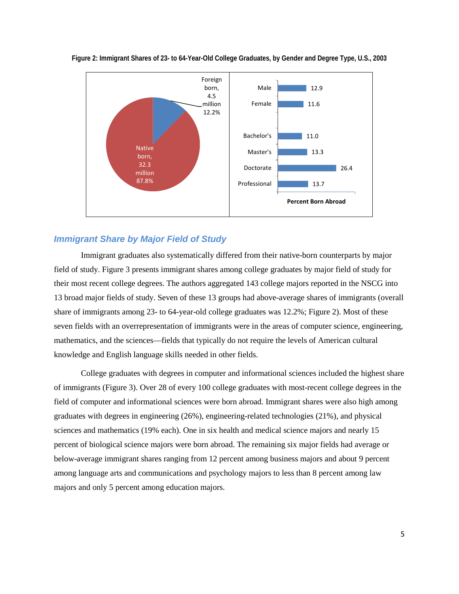

**Figure 2: Immigrant Shares of 23- to 64-Year-Old College Graduates, by Gender and Degree Type, U.S., 2003**

## <span id="page-7-0"></span>*Immigrant Share by Major Field of Study*

Immigrant graduates also systematically differed from their native-born counterparts by major field of study. Figure 3 presents immigrant shares among college graduates by major field of study for their most recent college degrees. The authors aggregated 143 college majors reported in the NSCG into 13 broad major fields of study. Seven of these 13 groups had above-average shares of immigrants (overall share of immigrants among 23- to 64-year-old college graduates was 12.2%; Figure 2). Most of these seven fields with an overrepresentation of immigrants were in the areas of computer science, engineering, mathematics, and the sciences—fields that typically do not require the levels of American cultural knowledge and English language skills needed in other fields.

College graduates with degrees in computer and informational sciences included the highest share of immigrants (Figure 3). Over 28 of every 100 college graduates with most-recent college degrees in the field of computer and informational sciences were born abroad. Immigrant shares were also high among graduates with degrees in engineering (26%), engineering-related technologies (21%), and physical sciences and mathematics (19% each). One in six health and medical science majors and nearly 15 percent of biological science majors were born abroad. The remaining six major fields had average or below-average immigrant shares ranging from 12 percent among business majors and about 9 percent among language arts and communications and psychology majors to less than 8 percent among law majors and only 5 percent among education majors.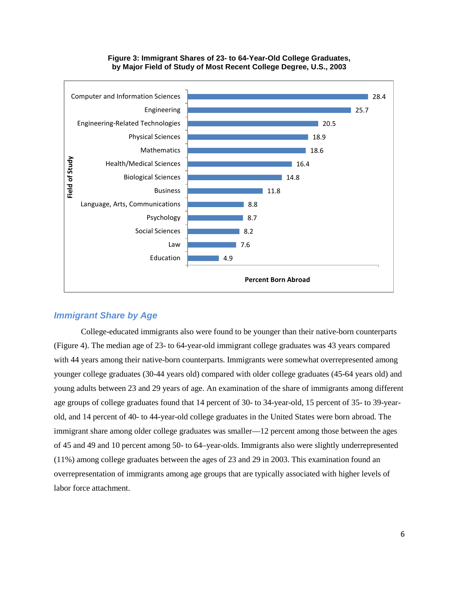

#### **Figure 3: Immigrant Shares of 23- to 64-Year-Old College Graduates, by Major Field of Study of Most Recent College Degree, U.S., 2003**

#### <span id="page-8-0"></span>*Immigrant Share by Age*

College-educated immigrants also were found to be younger than their native-born counterparts (Figure 4). The median age of 23- to 64-year-old immigrant college graduates was 43 years compared with 44 years among their native-born counterparts. Immigrants were somewhat overrepresented among younger college graduates (30-44 years old) compared with older college graduates (45-64 years old) and young adults between 23 and 29 years of age. An examination of the share of immigrants among different age groups of college graduates found that 14 percent of 30- to 34-year-old, 15 percent of 35- to 39-yearold, and 14 percent of 40- to 44-year-old college graduates in the United States were born abroad. The immigrant share among older college graduates was smaller—12 percent among those between the ages of 45 and 49 and 10 percent among 50- to 64–year-olds. Immigrants also were slightly underrepresented (11%) among college graduates between the ages of 23 and 29 in 2003. This examination found an overrepresentation of immigrants among age groups that are typically associated with higher levels of labor force attachment.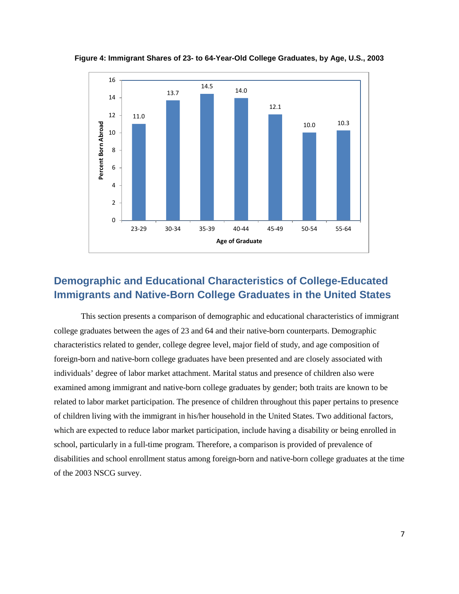

**Figure 4: Immigrant Shares of 23- to 64-Year-Old College Graduates, by Age, U.S., 2003**

# <span id="page-9-0"></span>**Demographic and Educational Characteristics of College-Educated Immigrants and Native-Born College Graduates in the United States**

This section presents a comparison of demographic and educational characteristics of immigrant college graduates between the ages of 23 and 64 and their native-born counterparts. Demographic characteristics related to gender, college degree level, major field of study, and age composition of foreign-born and native-born college graduates have been presented and are closely associated with individuals' degree of labor market attachment. Marital status and presence of children also were examined among immigrant and native-born college graduates by gender; both traits are known to be related to labor market participation. The presence of children throughout this paper pertains to presence of children living with the immigrant in his/her household in the United States. Two additional factors, which are expected to reduce labor market participation, include having a disability or being enrolled in school, particularly in a full-time program. Therefore, a comparison is provided of prevalence of disabilities and school enrollment status among foreign-born and native-born college graduates at the time of the 2003 NSCG survey.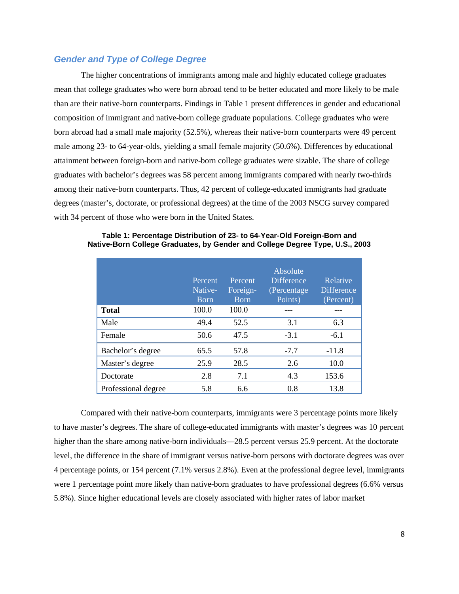#### <span id="page-10-0"></span>*Gender and Type of College Degree*

The higher concentrations of immigrants among male and highly educated college graduates mean that college graduates who were born abroad tend to be better educated and more likely to be male than are their native-born counterparts. Findings in Table 1 present differences in gender and educational composition of immigrant and native-born college graduate populations. College graduates who were born abroad had a small male majority (52.5%), whereas their native-born counterparts were 49 percent male among 23- to 64-year-olds, yielding a small female majority (50.6%). Differences by educational attainment between foreign-born and native-born college graduates were sizable. The share of college graduates with bachelor's degrees was 58 percent among immigrants compared with nearly two-thirds among their native-born counterparts. Thus, 42 percent of college-educated immigrants had graduate degrees (master's, doctorate, or professional degrees) at the time of the 2003 NSCG survey compared with 34 percent of those who were born in the United States.

|                     | Percent<br>Native-<br><b>B</b> orn | Percent<br>Foreign-<br><b>B</b> orn | Absolute<br><b>Difference</b><br>(Percentage)<br>Points) | Relative<br><b>Difference</b><br>(Percent) |
|---------------------|------------------------------------|-------------------------------------|----------------------------------------------------------|--------------------------------------------|
| <b>Total</b>        | 100.0                              | 100.0                               |                                                          |                                            |
| Male                | 49.4                               | 52.5                                | 3.1                                                      | 6.3                                        |
| Female              | 50.6                               | 47.5                                | $-3.1$                                                   | $-6.1$                                     |
| Bachelor's degree   | 65.5                               | 57.8                                | $-7.7$                                                   | $-11.8$                                    |
| Master's degree     | 25.9                               | 28.5                                | 2.6                                                      | 10.0                                       |
| Doctorate           | 2.8                                | 7.1                                 | 4.3                                                      | 153.6                                      |
| Professional degree | 5.8                                | 6.6                                 | 0.8                                                      | 13.8                                       |

**Table 1: Percentage Distribution of 23- to 64-Year-Old Foreign-Born and Native-Born College Graduates, by Gender and College Degree Type, U.S., 2003**

Compared with their native-born counterparts, immigrants were 3 percentage points more likely to have master's degrees. The share of college-educated immigrants with master's degrees was 10 percent higher than the share among native-born individuals—28.5 percent versus 25.9 percent. At the doctorate level, the difference in the share of immigrant versus native-born persons with doctorate degrees was over 4 percentage points, or 154 percent (7.1% versus 2.8%). Even at the professional degree level, immigrants were 1 percentage point more likely than native-born graduates to have professional degrees (6.6% versus 5.8%). Since higher educational levels are closely associated with higher rates of labor market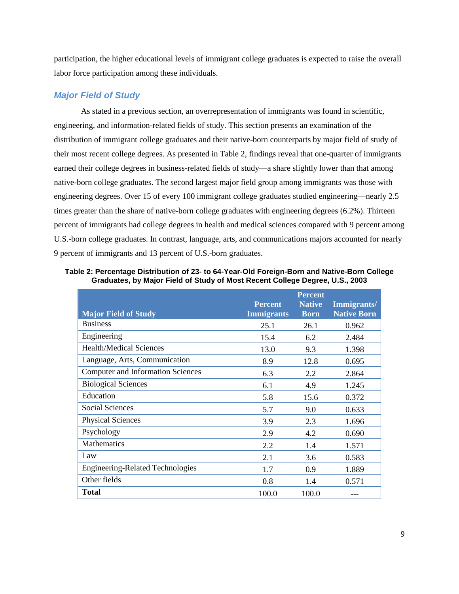participation, the higher educational levels of immigrant college graduates is expected to raise the overall labor force participation among these individuals.

## <span id="page-11-0"></span>*Major Field of Study*

As stated in a previous section, an overrepresentation of immigrants was found in scientific, engineering, and information-related fields of study. This section presents an examination of the distribution of immigrant college graduates and their native-born counterparts by major field of study of their most recent college degrees. As presented in Table 2, findings reveal that one-quarter of immigrants earned their college degrees in business-related fields of study—a share slightly lower than that among native-born college graduates. The second largest major field group among immigrants was those with engineering degrees. Over 15 of every 100 immigrant college graduates studied engineering—nearly 2.5 times greater than the share of native-born college graduates with engineering degrees (6.2%). Thirteen percent of immigrants had college degrees in health and medical sciences compared with 9 percent among U.S.-born college graduates. In contrast, language, arts, and communications majors accounted for nearly 9 percent of immigrants and 13 percent of U.S.-born graduates.

| <b>Major Field of Study</b>              | <b>Percent</b><br><b>Immigrants</b> | <b>Percent</b><br><b>Native</b><br><b>Born</b> | Immigrants/<br><b>Native Born</b> |
|------------------------------------------|-------------------------------------|------------------------------------------------|-----------------------------------|
| <b>Business</b>                          | 25.1                                | 26.1                                           | 0.962                             |
| Engineering                              | 15.4                                | 6.2                                            | 2.484                             |
| <b>Health/Medical Sciences</b>           | 13.0                                | 9.3                                            | 1.398                             |
| Language, Arts, Communication            | 8.9                                 | 12.8                                           | 0.695                             |
| <b>Computer and Information Sciences</b> | 6.3                                 | 2.2                                            | 2.864                             |
| <b>Biological Sciences</b>               | 6.1                                 | 4.9                                            | 1.245                             |
| Education                                | 5.8                                 | 15.6                                           | 0.372                             |
| <b>Social Sciences</b>                   | 5.7                                 | 9.0                                            | 0.633                             |
| <b>Physical Sciences</b>                 | 3.9                                 | 2.3                                            | 1.696                             |
| Psychology                               | 2.9                                 | 4.2                                            | 0.690                             |
| Mathematics                              | 2.2                                 | 1.4                                            | 1.571                             |
| Law                                      | 2.1                                 | 3.6                                            | 0.583                             |
| <b>Engineering-Related Technologies</b>  | 1.7                                 | 0.9                                            | 1.889                             |
| Other fields                             | 0.8                                 | 1.4                                            | 0.571                             |
| <b>Total</b>                             | 100.0                               | 100.0                                          |                                   |

**Table 2: Percentage Distribution of 23- to 64-Year-Old Foreign-Born and Native-Born College Graduates, by Major Field of Study of Most Recent College Degree, U.S., 2003**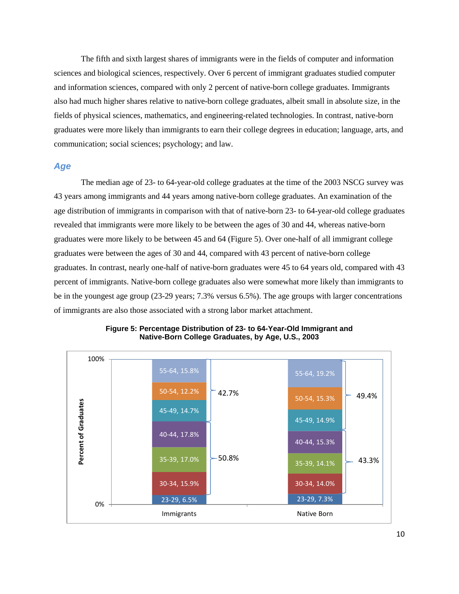The fifth and sixth largest shares of immigrants were in the fields of computer and information sciences and biological sciences, respectively. Over 6 percent of immigrant graduates studied computer and information sciences, compared with only 2 percent of native-born college graduates. Immigrants also had much higher shares relative to native-born college graduates, albeit small in absolute size, in the fields of physical sciences, mathematics, and engineering-related technologies. In contrast, native-born graduates were more likely than immigrants to earn their college degrees in education; language, arts, and communication; social sciences; psychology; and law.

#### <span id="page-12-0"></span>*Age*

The median age of 23- to 64-year-old college graduates at the time of the 2003 NSCG survey was 43 years among immigrants and 44 years among native-born college graduates. An examination of the age distribution of immigrants in comparison with that of native-born 23- to 64-year-old college graduates revealed that immigrants were more likely to be between the ages of 30 and 44, whereas native-born graduates were more likely to be between 45 and 64 (Figure 5). Over one-half of all immigrant college graduates were between the ages of 30 and 44, compared with 43 percent of native-born college graduates. In contrast, nearly one-half of native-born graduates were 45 to 64 years old, compared with 43 percent of immigrants. Native-born college graduates also were somewhat more likely than immigrants to be in the youngest age group (23-29 years; 7.3% versus 6.5%). The age groups with larger concentrations of immigrants are also those associated with a strong labor market attachment.



**Figure 5: Percentage Distribution of 23- to 64-Year-Old Immigrant and Native-Born College Graduates, by Age, U.S., 2003**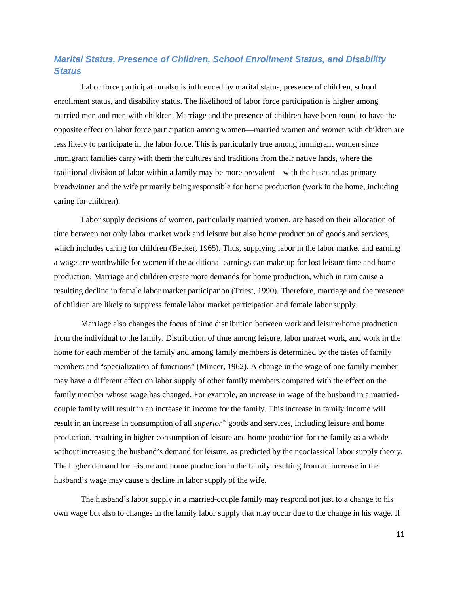# <span id="page-13-0"></span>*Marital Status, Presence of Children, School Enrollment Status, and Disability Status*

Labor force participation also is influenced by marital status, presence of children, school enrollment status, and disability status. The likelihood of labor force participation is higher among married men and men with children. Marriage and the presence of children have been found to have the opposite effect on labor force participation among women—married women and women with children are less likely to participate in the labor force. This is particularly true among immigrant women since immigrant families carry with them the cultures and traditions from their native lands, where the traditional division of labor within a family may be more prevalent—with the husband as primary breadwinner and the wife primarily being responsible for home production (work in the home, including caring for children).

Labor supply decisions of women, particularly married women, are based on their allocation of time between not only labor market work and leisure but also home production of goods and services, which includes caring for children (Becker, 1965). Thus, supplying labor in the labor market and earning a wage are worthwhile for women if the additional earnings can make up for lost leisure time and home production. Marriage and children create more demands for home production, which in turn cause a resulting decline in female labor market participation (Triest, 1990). Therefore, marriage and the presence of children are likely to suppress female labor market participation and female labor supply.

Marriage also changes the focus of time distribution between work and leisure/home production from the individual to the family. Distribution of time among leisure, labor market work, and work in the home for each member of the family and among family members is determined by the tastes of family members and "specialization of functions" (Mincer, 1962). A change in the wage of one family member may have a different effect on labor supply of other family members compared with the effect on the family member whose wage has changed. For example, an increase in wage of the husband in a marriedcouple family will result in an increase in income for the family. This increase in family income will result in an increase in consumption of all *superior*<sup>iv</sup> goods and services, including leisure and home production, resulting in higher consumption of leisure and home production for the family as a whole without increasing the husband's demand for leisure, as predicted by the neoclassical labor supply theory. The higher demand for leisure and home production in the family resulting from an increase in the husband's wage may cause a decline in labor supply of the wife.

The husband's labor supply in a married-couple family may respond not just to a change to his own wage but also to changes in the family labor supply that may occur due to the change in his wage. If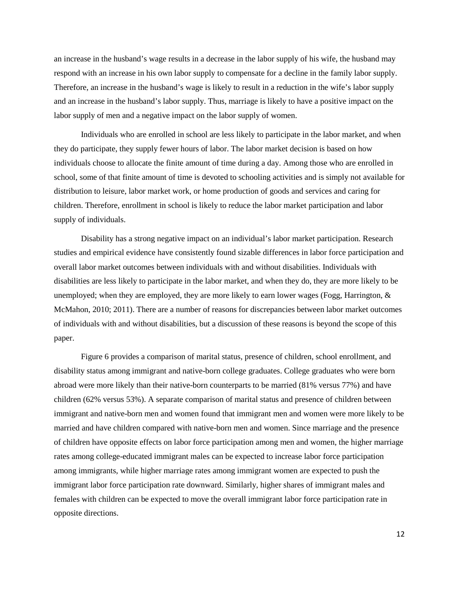an increase in the husband's wage results in a decrease in the labor supply of his wife, the husband may respond with an increase in his own labor supply to compensate for a decline in the family labor supply. Therefore, an increase in the husband's wage is likely to result in a reduction in the wife's labor supply and an increase in the husband's labor supply. Thus, marriage is likely to have a positive impact on the labor supply of men and a negative impact on the labor supply of women.

Individuals who are enrolled in school are less likely to participate in the labor market, and when they do participate, they supply fewer hours of labor. The labor market decision is based on how individuals choose to allocate the finite amount of time during a day. Among those who are enrolled in school, some of that finite amount of time is devoted to schooling activities and is simply not available for distribution to leisure, labor market work, or home production of goods and services and caring for children. Therefore, enrollment in school is likely to reduce the labor market participation and labor supply of individuals.

Disability has a strong negative impact on an individual's labor market participation. Research studies and empirical evidence have consistently found sizable differences in labor force participation and overall labor market outcomes between individuals with and without disabilities. Individuals with disabilities are less likely to participate in the labor market, and when they do, they are more likely to be unemployed; when they are employed, they are more likely to earn lower wages (Fogg, Harrington, & McMahon, 2010; 2011). There are a number of reasons for discrepancies between labor market outcomes of individuals with and without disabilities, but a discussion of these reasons is beyond the scope of this paper.

Figure 6 provides a comparison of marital status, presence of children, school enrollment, and disability status among immigrant and native-born college graduates. College graduates who were born abroad were more likely than their native-born counterparts to be married (81% versus 77%) and have children (62% versus 53%). A separate comparison of marital status and presence of children between immigrant and native-born men and women found that immigrant men and women were more likely to be married and have children compared with native-born men and women. Since marriage and the presence of children have opposite effects on labor force participation among men and women, the higher marriage rates among college-educated immigrant males can be expected to increase labor force participation among immigrants, while higher marriage rates among immigrant women are expected to push the immigrant labor force participation rate downward. Similarly, higher shares of immigrant males and females with children can be expected to move the overall immigrant labor force participation rate in opposite directions.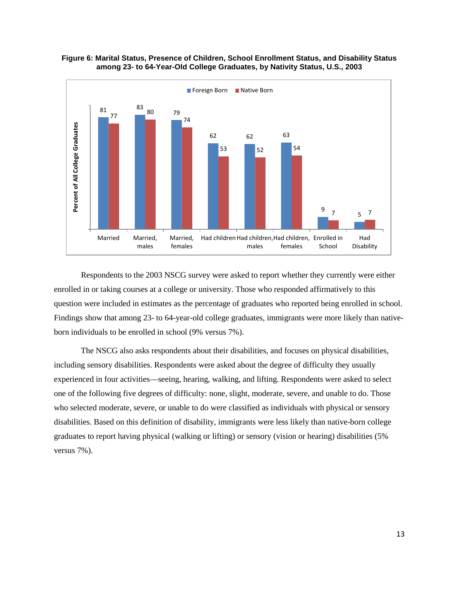

**Figure 6: Marital Status, Presence of Children, School Enrollment Status, and Disability Status among 23- to 64-Year-Old College Graduates, by Nativity Status, U.S., 2003**

Respondents to the 2003 NSCG survey were asked to report whether they currently were either enrolled in or taking courses at a college or university. Those who responded affirmatively to this question were included in estimates as the percentage of graduates who reported being enrolled in school. Findings show that among 23- to 64-year-old college graduates, immigrants were more likely than nativeborn individuals to be enrolled in school (9% versus 7%).

The NSCG also asks respondents about their disabilities, and focuses on physical disabilities, including sensory disabilities. Respondents were asked about the degree of difficulty they usually experienced in four activities—seeing, hearing, walking, and lifting. Respondents were asked to select one of the following five degrees of difficulty: none, slight, moderate, severe, and unable to do. Those who selected moderate, severe, or unable to do were classified as individuals with physical or sensory disabilities. Based on this definition of disability, immigrants were less likely than native-born college graduates to report having physical (walking or lifting) or sensory (vision or hearing) disabilities (5% versus 7%).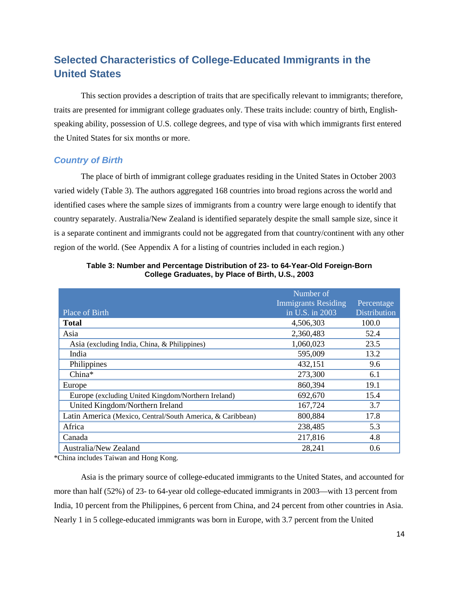# <span id="page-16-0"></span>**Selected Characteristics of College-Educated Immigrants in the United States**

This section provides a description of traits that are specifically relevant to immigrants; therefore, traits are presented for immigrant college graduates only. These traits include: country of birth, Englishspeaking ability, possession of U.S. college degrees, and type of visa with which immigrants first entered the United States for six months or more.

#### <span id="page-16-1"></span>*Country of Birth*

The place of birth of immigrant college graduates residing in the United States in October 2003 varied widely (Table 3). The authors aggregated 168 countries into broad regions across the world and identified cases where the sample sizes of immigrants from a country were large enough to identify that country separately. Australia/New Zealand is identified separately despite the small sample size, since it is a separate continent and immigrants could not be aggregated from that country/continent with any other region of the world. (See Appendix A for a listing of countries included in each region.)

|                                                            | Number of                            |              |
|------------------------------------------------------------|--------------------------------------|--------------|
|                                                            | <b>Immigrants Residing</b>           | Percentage   |
| Place of Birth                                             | $\overline{\text{in } U.S.}$ in 2003 | Distribution |
| <b>Total</b>                                               | 4,506,303                            | 100.0        |
| Asia                                                       | 2,360,483                            | 52.4         |
| Asia (excluding India, China, & Philippines)               | 1,060,023                            | 23.5         |
| India                                                      | 595,009                              | 13.2         |
| Philippines                                                | 432,151                              | 9.6          |
| China*                                                     | 273,300                              | 6.1          |
| Europe                                                     | 860,394                              | 19.1         |
| Europe (excluding United Kingdom/Northern Ireland)         | 692,670                              | 15.4         |
| United Kingdom/Northern Ireland                            | 167,724                              | 3.7          |
| Latin America (Mexico, Central/South America, & Caribbean) | 800,884                              | 17.8         |
| Africa                                                     | 238,485                              | 5.3          |
| Canada                                                     | 217,816                              | 4.8          |
| Australia/New Zealand                                      | 28,241                               | 0.6          |

**Table 3: Number and Percentage Distribution of 23- to 64-Year-Old Foreign-Born College Graduates, by Place of Birth, U.S., 2003**

\*China includes Taiwan and Hong Kong.

Asia is the primary source of college-educated immigrants to the United States, and accounted for more than half (52%) of 23- to 64-year old college-educated immigrants in 2003—with 13 percent from India, 10 percent from the Philippines, 6 percent from China, and 24 percent from other countries in Asia. Nearly 1 in 5 college-educated immigrants was born in Europe, with 3.7 percent from the United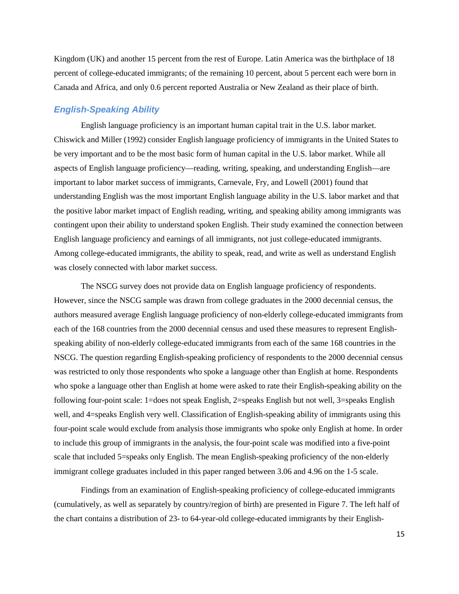Kingdom (UK) and another 15 percent from the rest of Europe. Latin America was the birthplace of 18 percent of college-educated immigrants; of the remaining 10 percent, about 5 percent each were born in Canada and Africa, and only 0.6 percent reported Australia or New Zealand as their place of birth.

#### <span id="page-17-0"></span>*English-Speaking Ability*

English language proficiency is an important human capital trait in the U.S. labor market. Chiswick and Miller (1992) consider English language proficiency of immigrants in the United States to be very important and to be the most basic form of human capital in the U.S. labor market. While all aspects of English language proficiency—reading, writing, speaking, and understanding English—are important to labor market success of immigrants, Carnevale, Fry, and Lowell (2001) found that understanding English was the most important English language ability in the U.S. labor market and that the positive labor market impact of English reading, writing, and speaking ability among immigrants was contingent upon their ability to understand spoken English. Their study examined the connection between English language proficiency and earnings of all immigrants, not just college-educated immigrants. Among college-educated immigrants, the ability to speak, read, and write as well as understand English was closely connected with labor market success.

The NSCG survey does not provide data on English language proficiency of respondents. However, since the NSCG sample was drawn from college graduates in the 2000 decennial census, the authors measured average English language proficiency of non-elderly college-educated immigrants from each of the 168 countries from the 2000 decennial census and used these measures to represent Englishspeaking ability of non-elderly college-educated immigrants from each of the same 168 countries in the NSCG. The question regarding English-speaking proficiency of respondents to the 2000 decennial census was restricted to only those respondents who spoke a language other than English at home. Respondents who spoke a language other than English at home were asked to rate their English-speaking ability on the following four-point scale: 1=does not speak English, 2=speaks English but not well, 3=speaks English well, and 4=speaks English very well. Classification of English-speaking ability of immigrants using this four-point scale would exclude from analysis those immigrants who spoke only English at home. In order to include this group of immigrants in the analysis, the four-point scale was modified into a five-point scale that included 5=speaks only English. The mean English-speaking proficiency of the non-elderly immigrant college graduates included in this paper ranged between 3.06 and 4.96 on the 1-5 scale.

Findings from an examination of English-speaking proficiency of college-educated immigrants (cumulatively, as well as separately by country/region of birth) are presented in Figure 7. The left half of the chart contains a distribution of 23- to 64-year-old college-educated immigrants by their English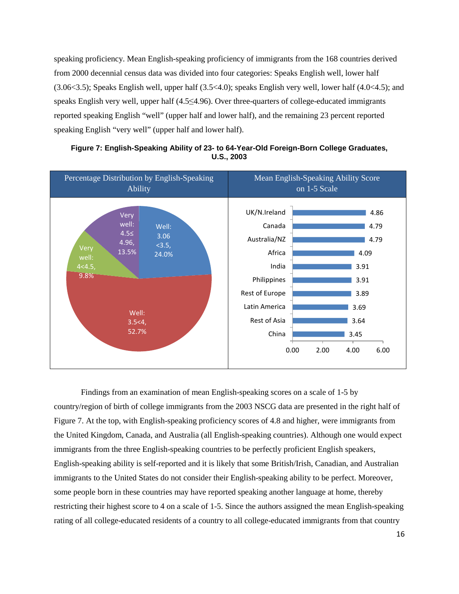speaking proficiency. Mean English-speaking proficiency of immigrants from the 168 countries derived from 2000 decennial census data was divided into four categories: Speaks English well, lower half (3.06<3.5); Speaks English well, upper half (3.5<4.0); speaks English very well, lower half (4.0<4.5); and speaks English very well, upper half (4.5≤4.96). Over three-quarters of college-educated immigrants reported speaking English "well" (upper half and lower half), and the remaining 23 percent reported speaking English "very well" (upper half and lower half).



**Figure 7: English-Speaking Ability of 23- to 64-Year-Old Foreign-Born College Graduates, U.S., 2003**

Findings from an examination of mean English-speaking scores on a scale of 1-5 by country/region of birth of college immigrants from the 2003 NSCG data are presented in the right half of Figure 7. At the top, with English-speaking proficiency scores of 4.8 and higher, were immigrants from the United Kingdom, Canada, and Australia (all English-speaking countries). Although one would expect immigrants from the three English-speaking countries to be perfectly proficient English speakers, English-speaking ability is self-reported and it is likely that some British/Irish, Canadian, and Australian immigrants to the United States do not consider their English-speaking ability to be perfect. Moreover, some people born in these countries may have reported speaking another language at home, thereby restricting their highest score to 4 on a scale of 1-5. Since the authors assigned the mean English-speaking rating of all college-educated residents of a country to all college-educated immigrants from that country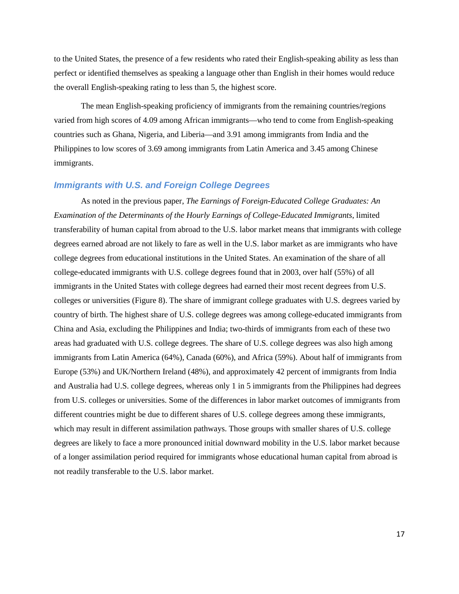to the United States, the presence of a few residents who rated their English-speaking ability as less than perfect or identified themselves as speaking a language other than English in their homes would reduce the overall English-speaking rating to less than 5, the highest score.

The mean English-speaking proficiency of immigrants from the remaining countries/regions varied from high scores of 4.09 among African immigrants—who tend to come from English-speaking countries such as Ghana, Nigeria, and Liberia—and 3.91 among immigrants from India and the Philippines to low scores of 3.69 among immigrants from Latin America and 3.45 among Chinese immigrants.

#### <span id="page-19-0"></span>*Immigrants with U.S. and Foreign College Degrees*

As noted in the previous paper, *The Earnings of Foreign-Educated College Graduates: An Examination of the Determinants of the Hourly Earnings of College-Educated Immigrants*, limited transferability of human capital from abroad to the U.S. labor market means that immigrants with college degrees earned abroad are not likely to fare as well in the U.S. labor market as are immigrants who have college degrees from educational institutions in the United States. An examination of the share of all college-educated immigrants with U.S. college degrees found that in 2003, over half (55%) of all immigrants in the United States with college degrees had earned their most recent degrees from U.S. colleges or universities (Figure 8). The share of immigrant college graduates with U.S. degrees varied by country of birth. The highest share of U.S. college degrees was among college-educated immigrants from China and Asia, excluding the Philippines and India; two-thirds of immigrants from each of these two areas had graduated with U.S. college degrees. The share of U.S. college degrees was also high among immigrants from Latin America (64%), Canada (60%), and Africa (59%). About half of immigrants from Europe (53%) and UK/Northern Ireland (48%), and approximately 42 percent of immigrants from India and Australia had U.S. college degrees, whereas only 1 in 5 immigrants from the Philippines had degrees from U.S. colleges or universities. Some of the differences in labor market outcomes of immigrants from different countries might be due to different shares of U.S. college degrees among these immigrants, which may result in different assimilation pathways. Those groups with smaller shares of U.S. college degrees are likely to face a more pronounced initial downward mobility in the U.S. labor market because of a longer assimilation period required for immigrants whose educational human capital from abroad is not readily transferable to the U.S. labor market.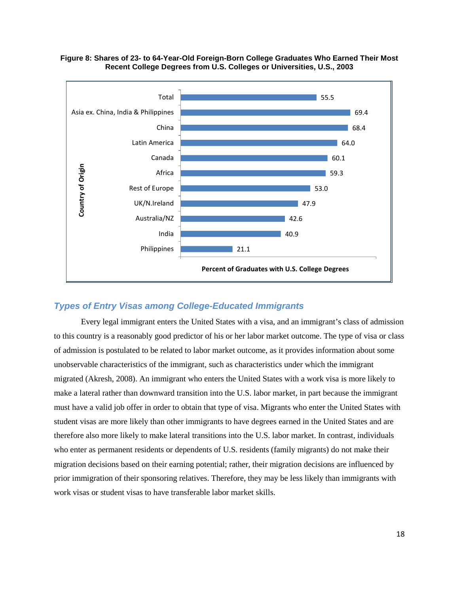

#### **Figure 8: Shares of 23- to 64-Year-Old Foreign-Born College Graduates Who Earned Their Most Recent College Degrees from U.S. Colleges or Universities, U.S., 2003**

## <span id="page-20-0"></span>*Types of Entry Visas among College-Educated Immigrants*

Every legal immigrant enters the United States with a visa, and an immigrant's class of admission to this country is a reasonably good predictor of his or her labor market outcome. The type of visa or class of admission is postulated to be related to labor market outcome, as it provides information about some unobservable characteristics of the immigrant, such as characteristics under which the immigrant migrated (Akresh, 2008). An immigrant who enters the United States with a work visa is more likely to make a lateral rather than downward transition into the U.S. labor market, in part because the immigrant must have a valid job offer in order to obtain that type of visa. Migrants who enter the United States with student visas are more likely than other immigrants to have degrees earned in the United States and are therefore also more likely to make lateral transitions into the U.S. labor market. In contrast, individuals who enter as permanent residents or dependents of U.S. residents (family migrants) do not make their migration decisions based on their earning potential; rather, their migration decisions are influenced by prior immigration of their sponsoring relatives. Therefore, they may be less likely than immigrants with work visas or student visas to have transferable labor market skills.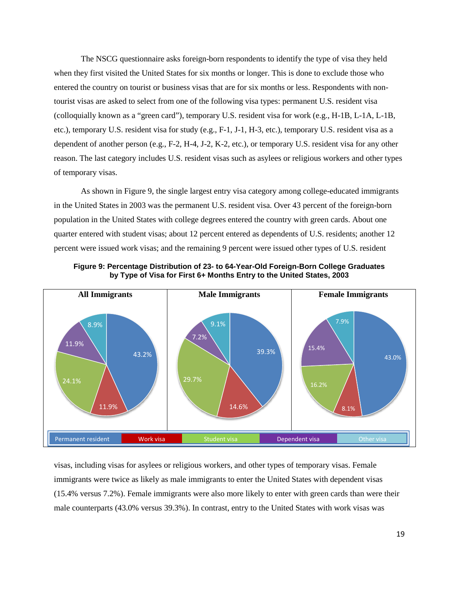The NSCG questionnaire asks foreign-born respondents to identify the type of visa they held when they first visited the United States for six months or longer. This is done to exclude those who entered the country on tourist or business visas that are for six months or less. Respondents with nontourist visas are asked to select from one of the following visa types: permanent U.S. resident visa (colloquially known as a "green card"), temporary U.S. resident visa for work (e.g., H-1B, L-1A, L-1B, etc.), temporary U.S. resident visa for study (e.g., F-1, J-1, H-3, etc.), temporary U.S. resident visa as a dependent of another person (e.g., F-2, H-4, J-2, K-2, etc.), or temporary U.S. resident visa for any other reason. The last category includes U.S. resident visas such as asylees or religious workers and other types of temporary visas.

As shown in Figure 9, the single largest entry visa category among college-educated immigrants in the United States in 2003 was the permanent U.S. resident visa. Over 43 percent of the foreign-born population in the United States with college degrees entered the country with green cards. About one quarter entered with student visas; about 12 percent entered as dependents of U.S. residents; another 12 percent were issued work visas; and the remaining 9 percent were issued other types of U.S. resident



**Figure 9: Percentage Distribution of 23- to 64-Year-Old Foreign-Born College Graduates by Type of Visa for First 6+ Months Entry to the United States, 2003**

visas, including visas for asylees or religious workers, and other types of temporary visas. Female immigrants were twice as likely as male immigrants to enter the United States with dependent visas (15.4% versus 7.2%). Female immigrants were also more likely to enter with green cards than were their male counterparts (43.0% versus 39.3%). In contrast, entry to the United States with work visas was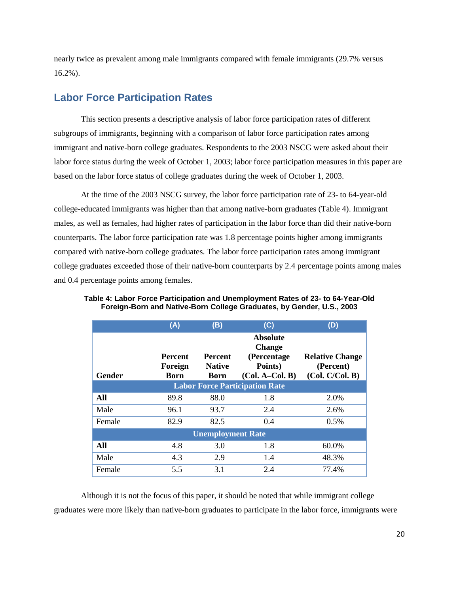nearly twice as prevalent among male immigrants compared with female immigrants (29.7% versus 16.2%).

# <span id="page-22-0"></span>**Labor Force Participation Rates**

This section presents a descriptive analysis of labor force participation rates of different subgroups of immigrants, beginning with a comparison of labor force participation rates among immigrant and native-born college graduates. Respondents to the 2003 NSCG were asked about their labor force status during the week of October 1, 2003; labor force participation measures in this paper are based on the labor force status of college graduates during the week of October 1, 2003.

At the time of the 2003 NSCG survey, the labor force participation rate of 23- to 64-year-old college-educated immigrants was higher than that among native-born graduates (Table 4). Immigrant males, as well as females, had higher rates of participation in the labor force than did their native-born counterparts. The labor force participation rate was 1.8 percentage points higher among immigrants compared with native-born college graduates. The labor force participation rates among immigrant college graduates exceeded those of their native-born counterparts by 2.4 percentage points among males and 0.4 percentage points among females.

|               | (A)                                      | (B)                                            | (C)                                                                              | (D)                                                    |
|---------------|------------------------------------------|------------------------------------------------|----------------------------------------------------------------------------------|--------------------------------------------------------|
| <b>Gender</b> | <b>Percent</b><br>Foreign<br><b>Born</b> | <b>Percent</b><br><b>Native</b><br><b>Born</b> | <b>Absolute</b><br><b>Change</b><br>(Percentage)<br>Points)<br>$(Col. A-Col. B)$ | <b>Relative Change</b><br>(Percent)<br>(Col. C/Col. B) |
|               |                                          |                                                | <b>Labor Force Participation Rate</b>                                            |                                                        |
| All           | 89.8                                     | 88.0                                           | 1.8                                                                              | 2.0%                                                   |
| Male          | 96.1                                     | 93.7                                           | 2.4                                                                              | 2.6%                                                   |
| Female        | 82.9                                     | 82.5                                           | 0.4                                                                              | 0.5%                                                   |
|               |                                          | <b>Unemployment Rate</b>                       |                                                                                  |                                                        |
| All           | 4.8                                      | 3.0                                            | 1.8                                                                              | 60.0%                                                  |
| Male          | 4.3                                      | 2.9                                            | 1.4                                                                              | 48.3%                                                  |
| Female        | 5.5                                      | 3.1                                            | 2.4                                                                              | 77.4%                                                  |

**Table 4: Labor Force Participation and Unemployment Rates of 23- to 64-Year-Old Foreign-Born and Native-Born College Graduates, by Gender, U.S., 2003**

Although it is not the focus of this paper, it should be noted that while immigrant college graduates were more likely than native-born graduates to participate in the labor force, immigrants were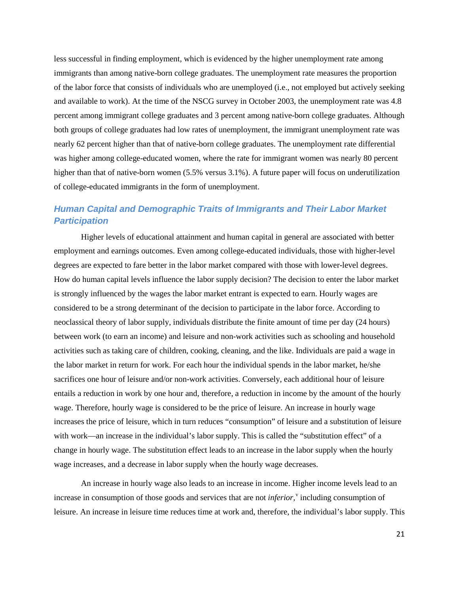less successful in finding employment, which is evidenced by the higher unemployment rate among immigrants than among native-born college graduates. The unemployment rate measures the proportion of the labor force that consists of individuals who are unemployed (i.e., not employed but actively seeking and available to work). At the time of the NSCG survey in October 2003, the unemployment rate was 4.8 percent among immigrant college graduates and 3 percent among native-born college graduates. Although both groups of college graduates had low rates of unemployment, the immigrant unemployment rate was nearly 62 percent higher than that of native-born college graduates. The unemployment rate differential was higher among college-educated women, where the rate for immigrant women was nearly 80 percent higher than that of native-born women (5.5% versus 3.1%). A future paper will focus on underutilization of college-educated immigrants in the form of unemployment.

# <span id="page-23-0"></span>*Human Capital and Demographic Traits of Immigrants and Their Labor Market Participation*

Higher levels of educational attainment and human capital in general are associated with better employment and earnings outcomes. Even among college-educated individuals, those with higher-level degrees are expected to fare better in the labor market compared with those with lower-level degrees. How do human capital levels influence the labor supply decision? The decision to enter the labor market is strongly influenced by the wages the labor market entrant is expected to earn. Hourly wages are considered to be a strong determinant of the decision to participate in the labor force. According to neoclassical theory of labor supply, individuals distribute the finite amount of time per day (24 hours) between work (to earn an income) and leisure and non-work activities such as schooling and household activities such as taking care of children, cooking, cleaning, and the like. Individuals are paid a wage in the labor market in return for work. For each hour the individual spends in the labor market, he/she sacrifices one hour of leisure and/or non-work activities. Conversely, each additional hour of leisure entails a reduction in work by one hour and, therefore, a reduction in income by the amount of the hourly wage. Therefore, hourly wage is considered to be the price of leisure. An increase in hourly wage increases the price of leisure, which in turn reduces "consumption" of leisure and a substitution of leisure with work—an increase in the individual's labor supply. This is called the "substitution effect" of a change in hourly wage. The substitution effect leads to an increase in the labor supply when the hourly wage increases, and a decrease in labor supply when the hourly wage decreases.

An increase in hourly wage also leads to an increase in income. Higher income levels lead to an increase in consumption of those goods and ser[v](#page-44-5)ices that are not *inferior*,<sup>v</sup> including consumption of leisure. An increase in leisure time reduces time at work and, therefore, the individual's labor supply. This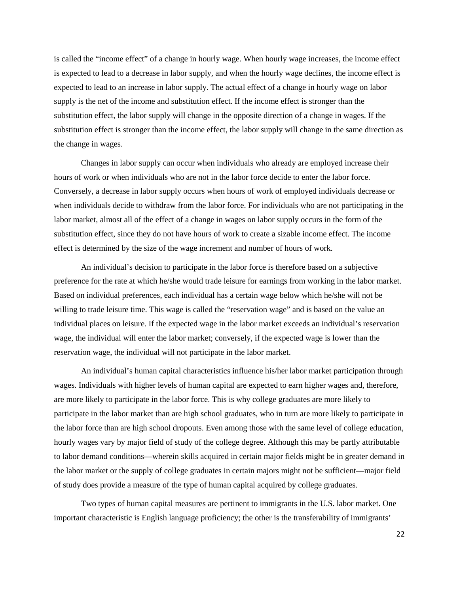is called the "income effect" of a change in hourly wage. When hourly wage increases, the income effect is expected to lead to a decrease in labor supply, and when the hourly wage declines, the income effect is expected to lead to an increase in labor supply. The actual effect of a change in hourly wage on labor supply is the net of the income and substitution effect. If the income effect is stronger than the substitution effect, the labor supply will change in the opposite direction of a change in wages. If the substitution effect is stronger than the income effect, the labor supply will change in the same direction as the change in wages.

Changes in labor supply can occur when individuals who already are employed increase their hours of work or when individuals who are not in the labor force decide to enter the labor force. Conversely, a decrease in labor supply occurs when hours of work of employed individuals decrease or when individuals decide to withdraw from the labor force. For individuals who are not participating in the labor market, almost all of the effect of a change in wages on labor supply occurs in the form of the substitution effect, since they do not have hours of work to create a sizable income effect. The income effect is determined by the size of the wage increment and number of hours of work.

An individual's decision to participate in the labor force is therefore based on a subjective preference for the rate at which he/she would trade leisure for earnings from working in the labor market. Based on individual preferences, each individual has a certain wage below which he/she will not be willing to trade leisure time. This wage is called the "reservation wage" and is based on the value an individual places on leisure. If the expected wage in the labor market exceeds an individual's reservation wage, the individual will enter the labor market; conversely, if the expected wage is lower than the reservation wage, the individual will not participate in the labor market.

An individual's human capital characteristics influence his/her labor market participation through wages. Individuals with higher levels of human capital are expected to earn higher wages and, therefore, are more likely to participate in the labor force. This is why college graduates are more likely to participate in the labor market than are high school graduates, who in turn are more likely to participate in the labor force than are high school dropouts. Even among those with the same level of college education, hourly wages vary by major field of study of the college degree. Although this may be partly attributable to labor demand conditions—wherein skills acquired in certain major fields might be in greater demand in the labor market or the supply of college graduates in certain majors might not be sufficient—major field of study does provide a measure of the type of human capital acquired by college graduates.

Two types of human capital measures are pertinent to immigrants in the U.S. labor market. One important characteristic is English language proficiency; the other is the transferability of immigrants'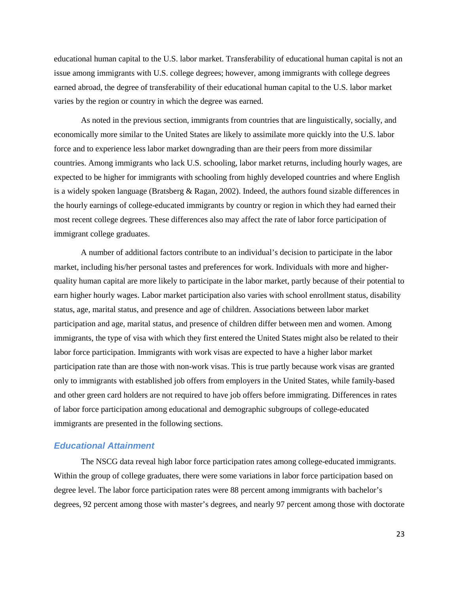educational human capital to the U.S. labor market. Transferability of educational human capital is not an issue among immigrants with U.S. college degrees; however, among immigrants with college degrees earned abroad, the degree of transferability of their educational human capital to the U.S. labor market varies by the region or country in which the degree was earned.

As noted in the previous section, immigrants from countries that are linguistically, socially, and economically more similar to the United States are likely to assimilate more quickly into the U.S. labor force and to experience less labor market downgrading than are their peers from more dissimilar countries. Among immigrants who lack U.S. schooling, labor market returns, including hourly wages, are expected to be higher for immigrants with schooling from highly developed countries and where English is a widely spoken language (Bratsberg & Ragan, 2002). Indeed, the authors found sizable differences in the hourly earnings of college-educated immigrants by country or region in which they had earned their most recent college degrees. These differences also may affect the rate of labor force participation of immigrant college graduates.

A number of additional factors contribute to an individual's decision to participate in the labor market, including his/her personal tastes and preferences for work. Individuals with more and higherquality human capital are more likely to participate in the labor market, partly because of their potential to earn higher hourly wages. Labor market participation also varies with school enrollment status, disability status, age, marital status, and presence and age of children. Associations between labor market participation and age, marital status, and presence of children differ between men and women. Among immigrants, the type of visa with which they first entered the United States might also be related to their labor force participation. Immigrants with work visas are expected to have a higher labor market participation rate than are those with non-work visas. This is true partly because work visas are granted only to immigrants with established job offers from employers in the United States, while family-based and other green card holders are not required to have job offers before immigrating. Differences in rates of labor force participation among educational and demographic subgroups of college-educated immigrants are presented in the following sections.

#### <span id="page-25-0"></span>*Educational Attainment*

The NSCG data reveal high labor force participation rates among college-educated immigrants. Within the group of college graduates, there were some variations in labor force participation based on degree level. The labor force participation rates were 88 percent among immigrants with bachelor's degrees, 92 percent among those with master's degrees, and nearly 97 percent among those with doctorate

23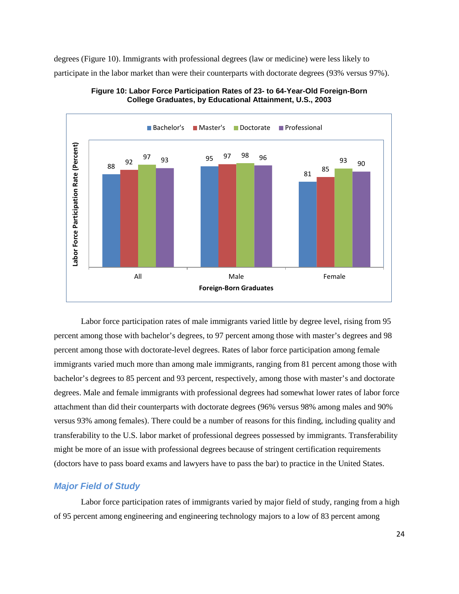degrees (Figure 10). Immigrants with professional degrees (law or medicine) were less likely to participate in the labor market than were their counterparts with doctorate degrees (93% versus 97%).





Labor force participation rates of male immigrants varied little by degree level, rising from 95 percent among those with bachelor's degrees, to 97 percent among those with master's degrees and 98 percent among those with doctorate-level degrees. Rates of labor force participation among female immigrants varied much more than among male immigrants, ranging from 81 percent among those with bachelor's degrees to 85 percent and 93 percent, respectively, among those with master's and doctorate degrees. Male and female immigrants with professional degrees had somewhat lower rates of labor force attachment than did their counterparts with doctorate degrees (96% versus 98% among males and 90% versus 93% among females). There could be a number of reasons for this finding, including quality and transferability to the U.S. labor market of professional degrees possessed by immigrants. Transferability might be more of an issue with professional degrees because of stringent certification requirements (doctors have to pass board exams and lawyers have to pass the bar) to practice in the United States.

#### <span id="page-26-0"></span>*Major Field of Study*

Labor force participation rates of immigrants varied by major field of study, ranging from a high of 95 percent among engineering and engineering technology majors to a low of 83 percent among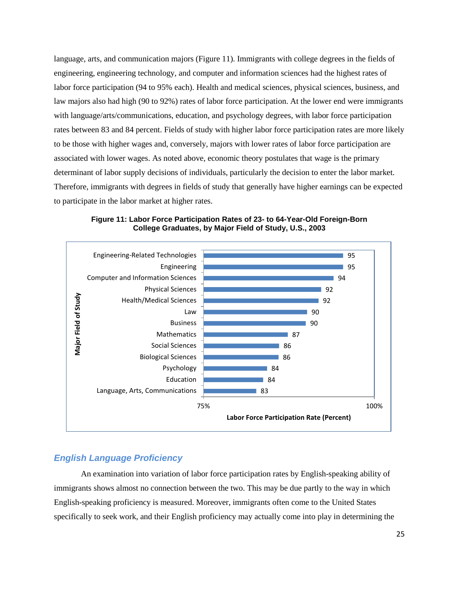language, arts, and communication majors (Figure 11). Immigrants with college degrees in the fields of engineering, engineering technology, and computer and information sciences had the highest rates of labor force participation (94 to 95% each). Health and medical sciences, physical sciences, business, and law majors also had high (90 to 92%) rates of labor force participation. At the lower end were immigrants with language/arts/communications, education, and psychology degrees, with labor force participation rates between 83 and 84 percent. Fields of study with higher labor force participation rates are more likely to be those with higher wages and, conversely, majors with lower rates of labor force participation are associated with lower wages. As noted above, economic theory postulates that wage is the primary determinant of labor supply decisions of individuals, particularly the decision to enter the labor market. Therefore, immigrants with degrees in fields of study that generally have higher earnings can be expected to participate in the labor market at higher rates.



**Figure 11: Labor Force Participation Rates of 23- to 64-Year-Old Foreign-Born College Graduates, by Major Field of Study, U.S., 2003**

## <span id="page-27-0"></span>*English Language Proficiency*

An examination into variation of labor force participation rates by English-speaking ability of immigrants shows almost no connection between the two. This may be due partly to the way in which English-speaking proficiency is measured. Moreover, immigrants often come to the United States specifically to seek work, and their English proficiency may actually come into play in determining the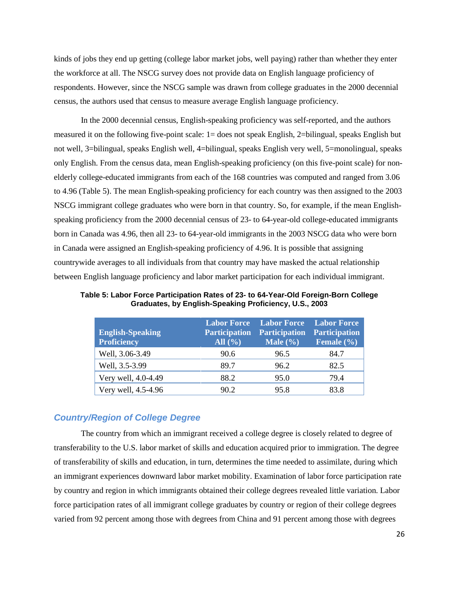kinds of jobs they end up getting (college labor market jobs, well paying) rather than whether they enter the workforce at all. The NSCG survey does not provide data on English language proficiency of respondents. However, since the NSCG sample was drawn from college graduates in the 2000 decennial census, the authors used that census to measure average English language proficiency.

In the 2000 decennial census, English-speaking proficiency was self-reported, and the authors measured it on the following five-point scale: 1= does not speak English, 2=bilingual, speaks English but not well, 3=bilingual, speaks English well, 4=bilingual, speaks English very well, 5=monolingual, speaks only English. From the census data, mean English-speaking proficiency (on this five-point scale) for nonelderly college-educated immigrants from each of the 168 countries was computed and ranged from 3.06 to 4.96 (Table 5). The mean English-speaking proficiency for each country was then assigned to the 2003 NSCG immigrant college graduates who were born in that country. So, for example, if the mean Englishspeaking proficiency from the 2000 decennial census of 23- to 64-year-old college-educated immigrants born in Canada was 4.96, then all 23- to 64-year-old immigrants in the 2003 NSCG data who were born in Canada were assigned an English-speaking proficiency of 4.96. It is possible that assigning countrywide averages to all individuals from that country may have masked the actual relationship between English language proficiency and labor market participation for each individual immigrant.

**Table 5: Labor Force Participation Rates of 23- to 64-Year-Old Foreign-Born College Graduates, by English-Speaking Proficiency, U.S., 2003**

| <b>English-Speaking</b><br><b>Proficiency</b> | <b>Labor Force</b><br><b>Participation</b><br>All $(\% )$ | <b>Labor Force</b><br><b>Participation</b><br>Male $(\% )$ | <b>Labor Force</b><br><b>Participation</b><br>Female $(\% )$ |
|-----------------------------------------------|-----------------------------------------------------------|------------------------------------------------------------|--------------------------------------------------------------|
| Well, 3.06-3.49                               | 90.6                                                      | 96.5                                                       | 84.7                                                         |
| Well, 3.5-3.99                                | 89.7                                                      | 96.2                                                       | 82.5                                                         |
| Very well, 4.0-4.49                           | 88.2                                                      | 95.0                                                       | 79.4                                                         |
| Very well, 4.5-4.96                           | 90.2                                                      | 95.8                                                       | 83 8                                                         |

#### <span id="page-28-0"></span>*Country/Region of College Degree*

The country from which an immigrant received a college degree is closely related to degree of transferability to the U.S. labor market of skills and education acquired prior to immigration. The degree of transferability of skills and education, in turn, determines the time needed to assimilate, during which an immigrant experiences downward labor market mobility. Examination of labor force participation rate by country and region in which immigrants obtained their college degrees revealed little variation. Labor force participation rates of all immigrant college graduates by country or region of their college degrees varied from 92 percent among those with degrees from China and 91 percent among those with degrees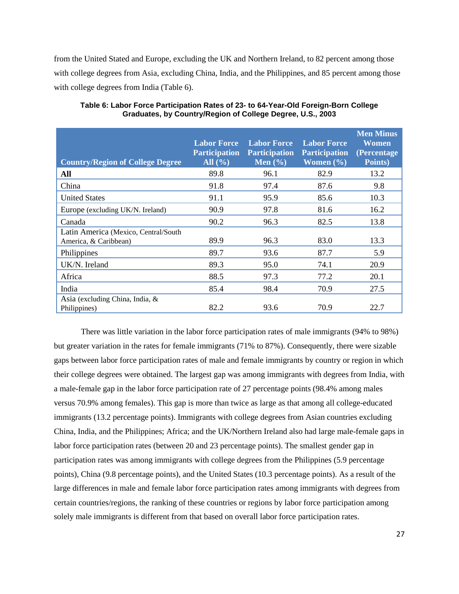from the United Stated and Europe, excluding the UK and Northern Ireland, to 82 percent among those with college degrees from Asia, excluding China, India, and the Philippines, and 85 percent among those with college degrees from India (Table 6).

| <b>Country/Region of College Degree</b>                       | <b>Labor Force</b><br><b>Participation</b><br>All $(\% )$ | <b>Labor Force</b><br><b>Participation</b><br>Men $(\% )$ | <b>Labor Force</b><br><b>Participation</b><br>Women $(\% )$ | <b>Men Minus</b><br><b>Women</b><br>(Percentage)<br>Points) |
|---------------------------------------------------------------|-----------------------------------------------------------|-----------------------------------------------------------|-------------------------------------------------------------|-------------------------------------------------------------|
| All                                                           | 89.8                                                      | 96.1                                                      | 82.9                                                        | 13.2                                                        |
| China                                                         | 91.8                                                      | 97.4                                                      | 87.6                                                        | 9.8                                                         |
| <b>United States</b>                                          | 91.1                                                      | 95.9                                                      | 85.6                                                        | 10.3                                                        |
| Europe (excluding UK/N. Ireland)                              | 90.9                                                      | 97.8                                                      | 81.6                                                        | 16.2                                                        |
| Canada                                                        | 90.2                                                      | 96.3                                                      | 82.5                                                        | 13.8                                                        |
| Latin America (Mexico, Central/South<br>America, & Caribbean) | 89.9                                                      | 96.3                                                      | 83.0                                                        | 13.3                                                        |
| Philippines                                                   | 89.7                                                      | 93.6                                                      | 87.7                                                        | 5.9                                                         |
| UK/N. Ireland                                                 | 89.3                                                      | 95.0                                                      | 74.1                                                        | 20.9                                                        |
| Africa                                                        | 88.5                                                      | 97.3                                                      | 77.2                                                        | 20.1                                                        |
| India                                                         | 85.4                                                      | 98.4                                                      | 70.9                                                        | 27.5                                                        |
| Asia (excluding China, India, $\&$<br>Philippines)            | 82.2                                                      | 93.6                                                      | 70.9                                                        | 22.7                                                        |

**Table 6: Labor Force Participation Rates of 23- to 64-Year-Old Foreign-Born College Graduates, by Country/Region of College Degree, U.S., 2003**

There was little variation in the labor force participation rates of male immigrants (94% to 98%) but greater variation in the rates for female immigrants (71% to 87%). Consequently, there were sizable gaps between labor force participation rates of male and female immigrants by country or region in which their college degrees were obtained. The largest gap was among immigrants with degrees from India, with a male-female gap in the labor force participation rate of 27 percentage points (98.4% among males versus 70.9% among females). This gap is more than twice as large as that among all college-educated immigrants (13.2 percentage points). Immigrants with college degrees from Asian countries excluding China, India, and the Philippines; Africa; and the UK/Northern Ireland also had large male-female gaps in labor force participation rates (between 20 and 23 percentage points). The smallest gender gap in participation rates was among immigrants with college degrees from the Philippines (5.9 percentage points), China (9.8 percentage points), and the United States (10.3 percentage points). As a result of the large differences in male and female labor force participation rates among immigrants with degrees from certain countries/regions, the ranking of these countries or regions by labor force participation among solely male immigrants is different from that based on overall labor force participation rates.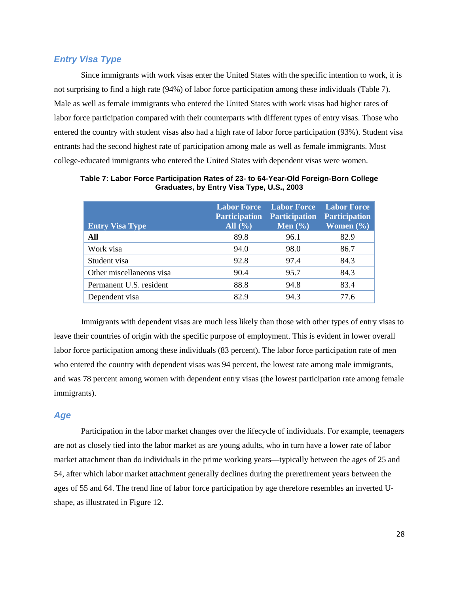#### <span id="page-30-0"></span>*Entry Visa Type*

Since immigrants with work visas enter the United States with the specific intention to work, it is not surprising to find a high rate (94%) of labor force participation among these individuals (Table 7). Male as well as female immigrants who entered the United States with work visas had higher rates of labor force participation compared with their counterparts with different types of entry visas. Those who entered the country with student visas also had a high rate of labor force participation (93%). Student visa entrants had the second highest rate of participation among male as well as female immigrants. Most college-educated immigrants who entered the United States with dependent visas were women.

| <b>Entry Visa Type</b>   | <b>Labor Force</b><br><b>Participation</b><br>All $(\% )$ | <b>Labor Force</b><br><b>Participation</b><br>Men $(\% )$ | <b>Labor Force</b><br><b>Participation</b><br>Women $(\% )$ |
|--------------------------|-----------------------------------------------------------|-----------------------------------------------------------|-------------------------------------------------------------|
|                          |                                                           |                                                           |                                                             |
| All                      | 89.8                                                      | 96.1                                                      | 82.9                                                        |
| Work visa                | 94.0                                                      | 98.0                                                      | 86.7                                                        |
| Student visa             | 92.8                                                      | 97.4                                                      | 84.3                                                        |
| Other miscellaneous visa | 90.4                                                      | 95.7                                                      | 84.3                                                        |
| Permanent U.S. resident  | 88.8                                                      | 94.8                                                      | 83.4                                                        |
| Dependent visa           | 82.9                                                      | 94.3                                                      | 77.6                                                        |

**Table 7: Labor Force Participation Rates of 23- to 64-Year-Old Foreign-Born College Graduates, by Entry Visa Type, U.S., 2003**

Immigrants with dependent visas are much less likely than those with other types of entry visas to leave their countries of origin with the specific purpose of employment. This is evident in lower overall labor force participation among these individuals (83 percent). The labor force participation rate of men who entered the country with dependent visas was 94 percent, the lowest rate among male immigrants, and was 78 percent among women with dependent entry visas (the lowest participation rate among female immigrants).

#### <span id="page-30-1"></span>*Age*

Participation in the labor market changes over the lifecycle of individuals. For example, teenagers are not as closely tied into the labor market as are young adults, who in turn have a lower rate of labor market attachment than do individuals in the prime working years—typically between the ages of 25 and 54, after which labor market attachment generally declines during the preretirement years between the ages of 55 and 64. The trend line of labor force participation by age therefore resembles an inverted Ushape, as illustrated in Figure 12.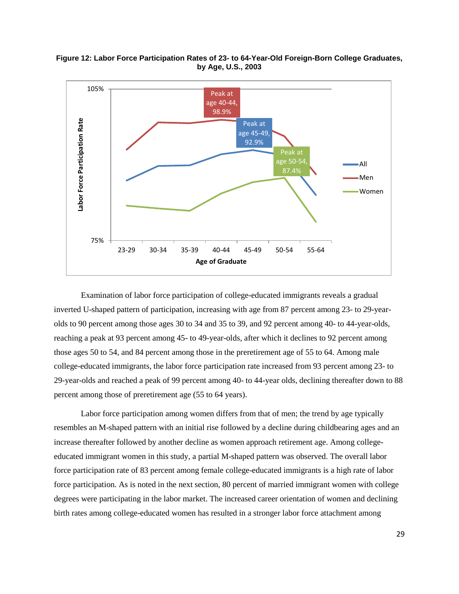



Examination of labor force participation of college-educated immigrants reveals a gradual inverted U-shaped pattern of participation, increasing with age from 87 percent among 23- to 29-yearolds to 90 percent among those ages 30 to 34 and 35 to 39, and 92 percent among 40- to 44-year-olds, reaching a peak at 93 percent among 45- to 49-year-olds, after which it declines to 92 percent among those ages 50 to 54, and 84 percent among those in the preretirement age of 55 to 64. Among male college-educated immigrants, the labor force participation rate increased from 93 percent among 23- to 29-year-olds and reached a peak of 99 percent among 40- to 44-year olds, declining thereafter down to 88 percent among those of preretirement age (55 to 64 years).

Labor force participation among women differs from that of men; the trend by age typically resembles an M-shaped pattern with an initial rise followed by a decline during childbearing ages and an increase thereafter followed by another decline as women approach retirement age. Among collegeeducated immigrant women in this study, a partial M-shaped pattern was observed. The overall labor force participation rate of 83 percent among female college-educated immigrants is a high rate of labor force participation. As is noted in the next section, 80 percent of married immigrant women with college degrees were participating in the labor market. The increased career orientation of women and declining birth rates among college-educated women has resulted in a stronger labor force attachment among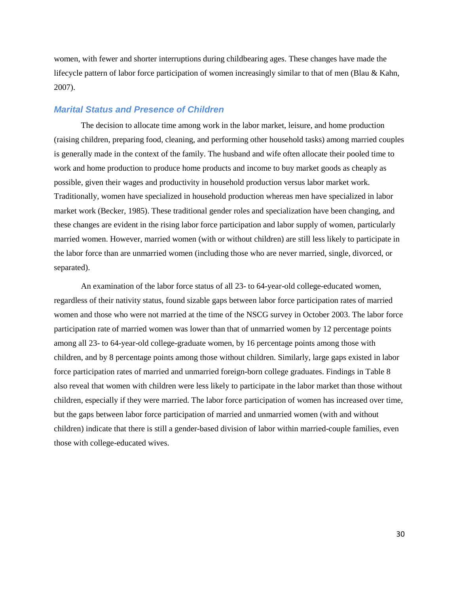women, with fewer and shorter interruptions during childbearing ages. These changes have made the lifecycle pattern of labor force participation of women increasingly similar to that of men (Blau & Kahn, 2007).

#### <span id="page-32-0"></span>*Marital Status and Presence of Children*

The decision to allocate time among work in the labor market, leisure, and home production (raising children, preparing food, cleaning, and performing other household tasks) among married couples is generally made in the context of the family. The husband and wife often allocate their pooled time to work and home production to produce home products and income to buy market goods as cheaply as possible, given their wages and productivity in household production versus labor market work. Traditionally, women have specialized in household production whereas men have specialized in labor market work (Becker, 1985). These traditional gender roles and specialization have been changing, and these changes are evident in the rising labor force participation and labor supply of women, particularly married women. However, married women (with or without children) are still less likely to participate in the labor force than are unmarried women (including those who are never married, single, divorced, or separated).

An examination of the labor force status of all 23- to 64-year-old college-educated women, regardless of their nativity status, found sizable gaps between labor force participation rates of married women and those who were not married at the time of the NSCG survey in October 2003. The labor force participation rate of married women was lower than that of unmarried women by 12 percentage points among all 23- to 64-year-old college-graduate women, by 16 percentage points among those with children, and by 8 percentage points among those without children. Similarly, large gaps existed in labor force participation rates of married and unmarried foreign-born college graduates. Findings in Table 8 also reveal that women with children were less likely to participate in the labor market than those without children, especially if they were married. The labor force participation of women has increased over time, but the gaps between labor force participation of married and unmarried women (with and without children) indicate that there is still a gender-based division of labor within married-couple families, even those with college-educated wives.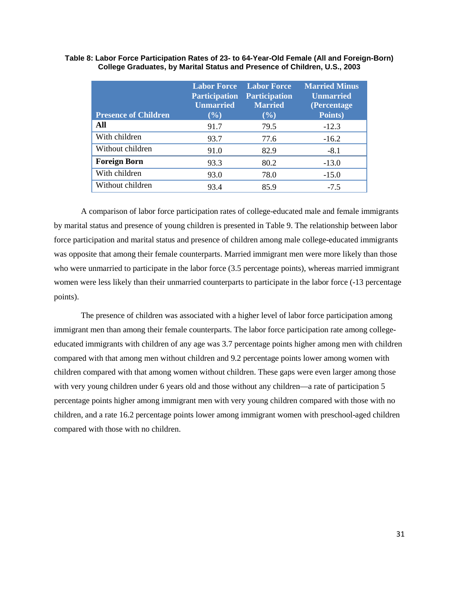| <b>Presence of Children</b> | <b>Labor Force</b><br><b>Participation</b><br><b>Unmarried</b><br>(%) | <b>Labor Force</b><br><b>Participation</b><br><b>Married</b><br>(%) | <b>Married Minus</b><br><b>Unmarried</b><br>(Percentage)<br>Points) |
|-----------------------------|-----------------------------------------------------------------------|---------------------------------------------------------------------|---------------------------------------------------------------------|
| All                         | 91.7                                                                  | 79.5                                                                | $-12.3$                                                             |
| With children               | 93.7                                                                  | 77.6                                                                | $-16.2$                                                             |
| Without children            | 91.0                                                                  | 82.9                                                                | $-8.1$                                                              |
| <b>Foreign Born</b>         | 93.3                                                                  | 80.2                                                                | $-13.0$                                                             |
| With children               | 93.0                                                                  | 78.0                                                                | $-15.0$                                                             |
| Without children            | 93.4                                                                  | 85.9                                                                | $-7.5$                                                              |

#### **Table 8: Labor Force Participation Rates of 23- to 64-Year-Old Female (All and Foreign-Born) College Graduates, by Marital Status and Presence of Children, U.S., 2003**

A comparison of labor force participation rates of college-educated male and female immigrants by marital status and presence of young children is presented in Table 9. The relationship between labor force participation and marital status and presence of children among male college-educated immigrants was opposite that among their female counterparts. Married immigrant men were more likely than those who were unmarried to participate in the labor force (3.5 percentage points), whereas married immigrant women were less likely than their unmarried counterparts to participate in the labor force (-13 percentage points).

The presence of children was associated with a higher level of labor force participation among immigrant men than among their female counterparts. The labor force participation rate among collegeeducated immigrants with children of any age was 3.7 percentage points higher among men with children compared with that among men without children and 9.2 percentage points lower among women with children compared with that among women without children. These gaps were even larger among those with very young children under 6 years old and those without any children—a rate of participation 5 percentage points higher among immigrant men with very young children compared with those with no children, and a rate 16.2 percentage points lower among immigrant women with preschool-aged children compared with those with no children.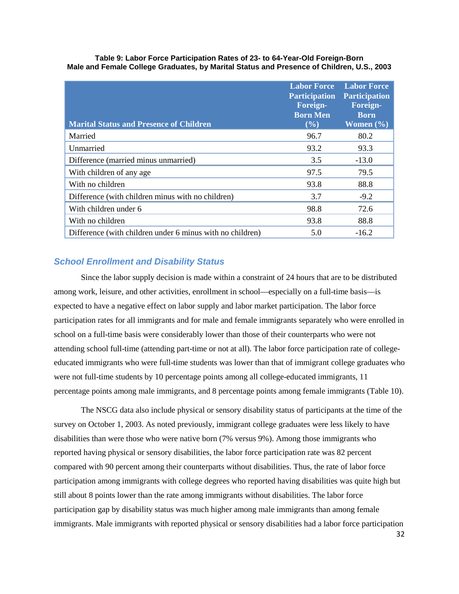| <b>Marital Status and Presence of Children</b>    | <b>Labor Force</b><br><b>Participation</b><br><b>Foreign-</b><br><b>Born Men</b><br>$($ %) | <b>Labor Force</b><br><b>Participation</b><br>Foreign-<br><b>Born</b><br>Women $(\% )$ |
|---------------------------------------------------|--------------------------------------------------------------------------------------------|----------------------------------------------------------------------------------------|
| Married                                           | 96.7                                                                                       | 80.2                                                                                   |
| Unmarried                                         | 93.2                                                                                       | 93.3                                                                                   |
| Difference (married minus unmarried)              | 3.5                                                                                        | $-13.0$                                                                                |
| With children of any age.                         | 97.5                                                                                       | 79.5                                                                                   |
| With no children                                  | 93.8                                                                                       | 88.8                                                                                   |
| Difference (with children minus with no children) | 3.7                                                                                        | $-9.2$                                                                                 |
| With children under 6                             | 98.8                                                                                       | 72.6                                                                                   |
| With no children                                  | 93.8                                                                                       | 88.8                                                                                   |

Difference (with children under 6 minus with no children) 5.0 -16.2

**Table 9: Labor Force Participation Rates of 23- to 64-Year-Old Foreign-Born Male and Female College Graduates, by Marital Status and Presence of Children, U.S., 2003**

#### <span id="page-34-0"></span>*School Enrollment and Disability Status*

Since the labor supply decision is made within a constraint of 24 hours that are to be distributed among work, leisure, and other activities, enrollment in school—especially on a full-time basis—is expected to have a negative effect on labor supply and labor market participation. The labor force participation rates for all immigrants and for male and female immigrants separately who were enrolled in school on a full-time basis were considerably lower than those of their counterparts who were not attending school full-time (attending part-time or not at all). The labor force participation rate of collegeeducated immigrants who were full-time students was lower than that of immigrant college graduates who were not full-time students by 10 percentage points among all college-educated immigrants, 11 percentage points among male immigrants, and 8 percentage points among female immigrants (Table 10).

The NSCG data also include physical or sensory disability status of participants at the time of the survey on October 1, 2003. As noted previously, immigrant college graduates were less likely to have disabilities than were those who were native born (7% versus 9%). Among those immigrants who reported having physical or sensory disabilities, the labor force participation rate was 82 percent compared with 90 percent among their counterparts without disabilities. Thus, the rate of labor force participation among immigrants with college degrees who reported having disabilities was quite high but still about 8 points lower than the rate among immigrants without disabilities. The labor force participation gap by disability status was much higher among male immigrants than among female immigrants. Male immigrants with reported physical or sensory disabilities had a labor force participation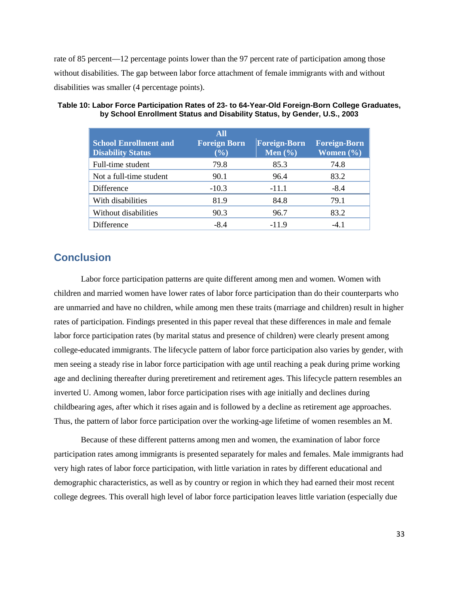rate of 85 percent—12 percentage points lower than the 97 percent rate of participation among those without disabilities. The gap between labor force attachment of female immigrants with and without disabilities was smaller (4 percentage points).

| <b>School Enrollment and</b><br><b>Disability Status</b> | <b>All</b><br><b>Foreign Born</b><br>$(\%)$ | <b>Foreign-Born</b><br>Men $(\% )$ | <b>Foreign-Born</b><br>Women $(\% )$ |
|----------------------------------------------------------|---------------------------------------------|------------------------------------|--------------------------------------|
| Full-time student                                        | 79.8                                        | 85.3                               | 74.8                                 |
| Not a full-time student                                  | 90.1                                        | 96.4                               | 83.2                                 |
| Difference                                               | $-10.3$                                     | $-11.1$                            | $-8.4$                               |
| With disabilities                                        | 81.9                                        | 84.8                               | 79.1                                 |
| Without disabilities                                     | 90.3                                        | 96.7                               | 83.2                                 |
| Difference                                               | $-8.4$                                      | $-11.9$                            | $-41$                                |

#### **Table 10: Labor Force Participation Rates of 23- to 64-Year-Old Foreign-Born College Graduates, by School Enrollment Status and Disability Status, by Gender, U.S., 2003**

# <span id="page-35-0"></span>**Conclusion**

Labor force participation patterns are quite different among men and women. Women with children and married women have lower rates of labor force participation than do their counterparts who are unmarried and have no children, while among men these traits (marriage and children) result in higher rates of participation. Findings presented in this paper reveal that these differences in male and female labor force participation rates (by marital status and presence of children) were clearly present among college-educated immigrants. The lifecycle pattern of labor force participation also varies by gender, with men seeing a steady rise in labor force participation with age until reaching a peak during prime working age and declining thereafter during preretirement and retirement ages. This lifecycle pattern resembles an inverted U. Among women, labor force participation rises with age initially and declines during childbearing ages, after which it rises again and is followed by a decline as retirement age approaches. Thus, the pattern of labor force participation over the working-age lifetime of women resembles an M.

Because of these different patterns among men and women, the examination of labor force participation rates among immigrants is presented separately for males and females. Male immigrants had very high rates of labor force participation, with little variation in rates by different educational and demographic characteristics, as well as by country or region in which they had earned their most recent college degrees. This overall high level of labor force participation leaves little variation (especially due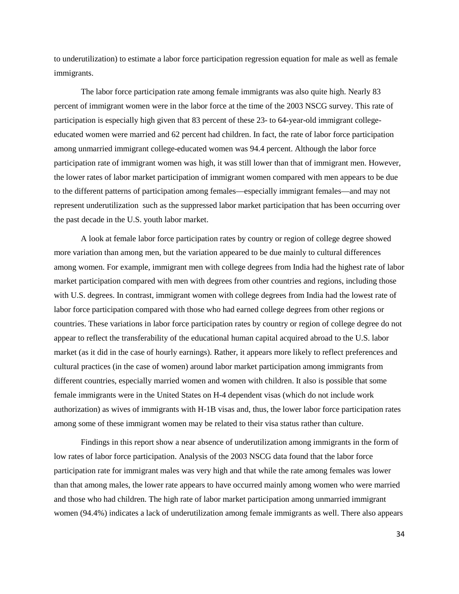to underutilization) to estimate a labor force participation regression equation for male as well as female immigrants.

The labor force participation rate among female immigrants was also quite high. Nearly 83 percent of immigrant women were in the labor force at the time of the 2003 NSCG survey. This rate of participation is especially high given that 83 percent of these 23- to 64-year-old immigrant collegeeducated women were married and 62 percent had children. In fact, the rate of labor force participation among unmarried immigrant college-educated women was 94.4 percent. Although the labor force participation rate of immigrant women was high, it was still lower than that of immigrant men. However, the lower rates of labor market participation of immigrant women compared with men appears to be due to the different patterns of participation among females—especially immigrant females—and may not represent underutilization such as the suppressed labor market participation that has been occurring over the past decade in the U.S. youth labor market.

A look at female labor force participation rates by country or region of college degree showed more variation than among men, but the variation appeared to be due mainly to cultural differences among women. For example, immigrant men with college degrees from India had the highest rate of labor market participation compared with men with degrees from other countries and regions, including those with U.S. degrees. In contrast, immigrant women with college degrees from India had the lowest rate of labor force participation compared with those who had earned college degrees from other regions or countries. These variations in labor force participation rates by country or region of college degree do not appear to reflect the transferability of the educational human capital acquired abroad to the U.S. labor market (as it did in the case of hourly earnings). Rather, it appears more likely to reflect preferences and cultural practices (in the case of women) around labor market participation among immigrants from different countries, especially married women and women with children. It also is possible that some female immigrants were in the United States on H-4 dependent visas (which do not include work authorization) as wives of immigrants with H-1B visas and, thus, the lower labor force participation rates among some of these immigrant women may be related to their visa status rather than culture.

Findings in this report show a near absence of underutilization among immigrants in the form of low rates of labor force participation. Analysis of the 2003 NSCG data found that the labor force participation rate for immigrant males was very high and that while the rate among females was lower than that among males, the lower rate appears to have occurred mainly among women who were married and those who had children. The high rate of labor market participation among unmarried immigrant women (94.4%) indicates a lack of underutilization among female immigrants as well. There also appears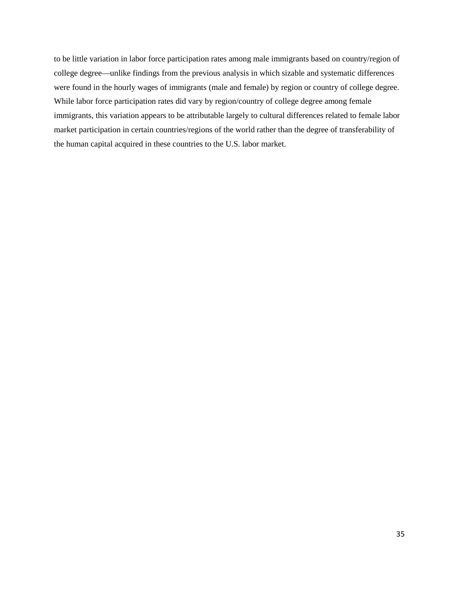to be little variation in labor force participation rates among male immigrants based on country/region of college degree—unlike findings from the previous analysis in which sizable and systematic differences were found in the hourly wages of immigrants (male and female) by region or country of college degree. While labor force participation rates did vary by region/country of college degree among female immigrants, this variation appears to be attributable largely to cultural differences related to female labor market participation in certain countries/regions of the world rather than the degree of transferability of the human capital acquired in these countries to the U.S. labor market.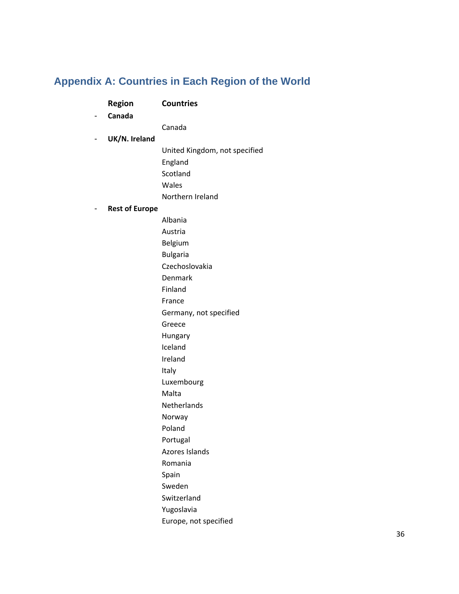# <span id="page-38-0"></span>**Appendix A: Countries in Each Region of the World**

| - | <b>Region</b><br>Canada | <b>Countries</b>              |
|---|-------------------------|-------------------------------|
|   |                         | Canada                        |
| - | UK/N. Ireland           |                               |
|   |                         | United Kingdom, not specified |
|   |                         | England                       |
|   |                         | Scotland                      |
|   |                         | Wales                         |
|   |                         | Northern Ireland              |
| - | <b>Rest of Europe</b>   |                               |
|   |                         | Albania                       |
|   |                         | Austria                       |
|   |                         | Belgium                       |
|   |                         | <b>Bulgaria</b>               |
|   |                         | Czechoslovakia                |
|   |                         | Denmark                       |
|   |                         | Finland                       |
|   |                         | France                        |
|   |                         | Germany, not specified        |
|   |                         | Greece                        |
|   |                         | Hungary                       |
|   |                         | Iceland                       |
|   |                         | Ireland                       |
|   |                         | Italy                         |
|   |                         | Luxembourg                    |
|   |                         | Malta                         |
|   |                         | Netherlands                   |
|   |                         | Norway                        |
|   |                         | Poland                        |
|   |                         | Portugal                      |
|   |                         | Azores Islands                |
|   |                         | Romania                       |
|   |                         | Spain                         |
|   |                         | Sweden                        |
|   |                         | Switzerland                   |
|   |                         | Yugoslavia                    |
|   |                         | Europe, not specified         |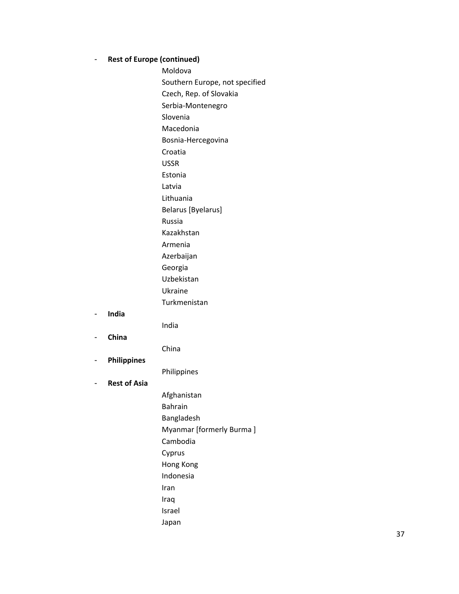#### - **Rest of Europe (continued)**

Moldova

Southern Europe, not specified

Czech, Rep. of Slovakia

Serbia ‐Montenegro

Slovenia

Macedonia

Bosnia ‐Hercegovina

Croatia

USSR Estonia

Latvia

Lithuania

Belarus [Byelarus]

Russia

Kazakhstan

Armenia

Azerbaijan

Georgia Uzbekistan

Ukraine

Turkmenistan

- **India**

India

- **China**

China

- **Philippines**

Philippines

## - **Rest of Asia**

Afghanistan Bahrain Bangladesh Myanmar [formerly Burma ] Cambodia Cyprus Hong Kong Indonesia Iran Iraq Israel Japan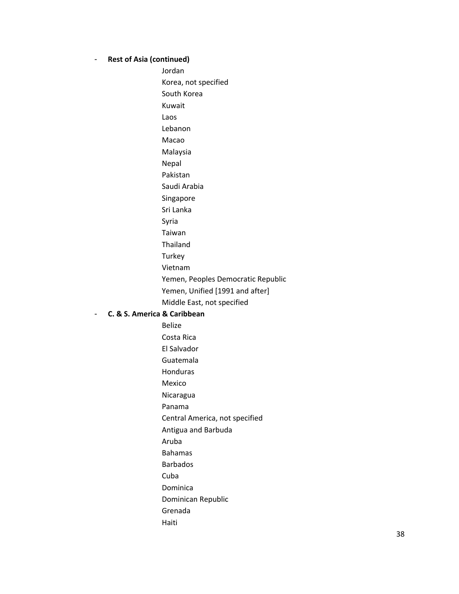#### - **Rest of Asia (continued)**

Jordan Korea, not specified South Korea Kuwait Laos Lebanon Macao Malaysia Nepal Pakistan Saudi Arabia Singapore Sri Lanka Syria Taiwan Thailand **Turkey** Vietnam Yemen, Peoples Democratic Republic Yemen, Unified [1991 and after] Middle East, not specified

#### - **C. & S. America & Caribbean**

Belize Costa Rica El Salvador Guatemala Honduras Mexico Nicaragua Panama Central America, not specified Antigua and Barbuda Aruba Bahamas Barbados Cuba Dominica Dominican Republic Grenada Haiti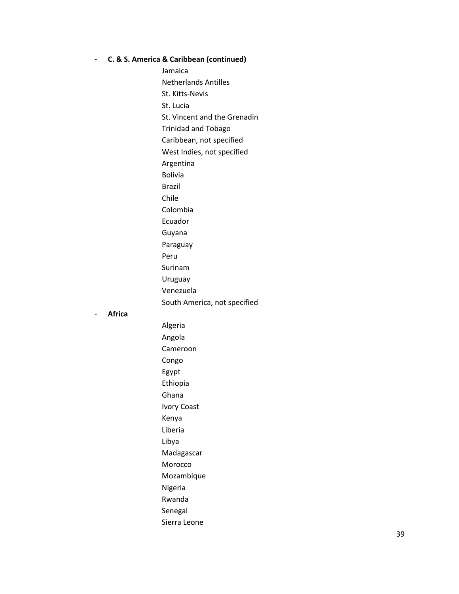#### - **C. & S. America & Caribbean (continued)**

Jamaica Netherlands Antilles St. Kitts ‐Nevis St. Lucia St. Vincent and the Grenadin Trinidad and Tobago Caribbean, not specified West Indies, not specified Argentina Bolivia Brazil Chile Colombia Ecuador Guyana Paraguay Peru Surinam Uruguay Venezuela South America, not spe cified

#### - **Africa**

Algeria Angola Cameroon Congo Egypt Ethiopia Ghana Ivory Coast Kenya Liberia Libya Madagascar Morocco Mozambique Nigeria Rwanda Senegal Sierra Leone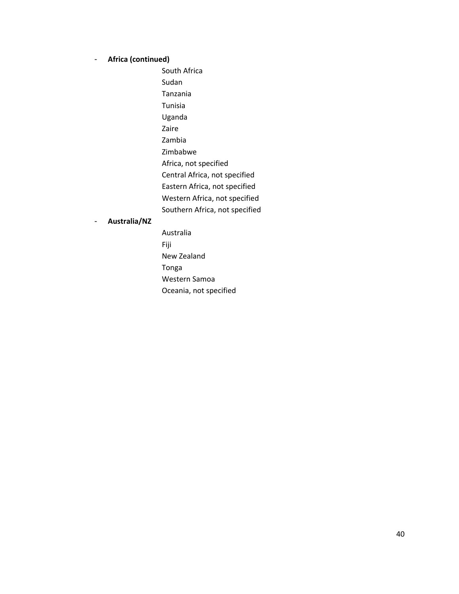## - **Africa (continued)**

South Africa Sudan Tanzania Tunisia Uganda Zaire Zambia Zimbabwe Africa, not specified Central Africa, not specified Eastern Africa, not specified Western Africa, not specified Southern Africa, not specified

#### - **Australia/NZ**

Australia Fiji New Zealand Tonga Western Samoa Oceania, not specified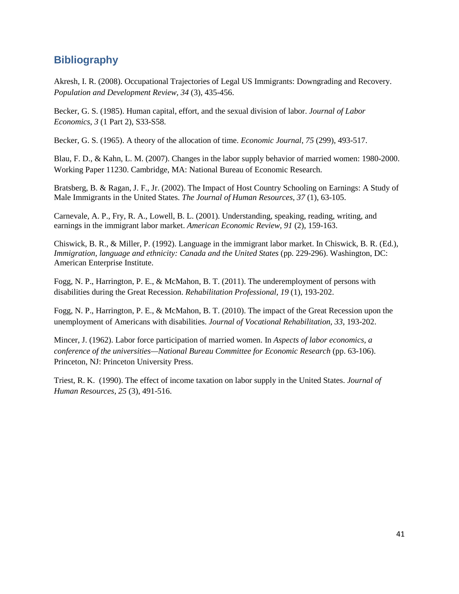# <span id="page-43-0"></span>**Bibliography**

Akresh, I. R. (2008). Occupational Trajectories of Legal US Immigrants: Downgrading and Recovery. *Population and Development Review, 34* (3), 435-456.

Becker, G. S. (1985). Human capital, effort, and the sexual division of labor. *Journal of Labor Economics*, *3* (1 Part 2), S33-S58.

Becker, G. S. (1965). A theory of the allocation of time. *Economic Journal*, *75* (299), 493-517.

Blau, F. D., & Kahn, L. M. (2007). Changes in the labor supply behavior of married women: 1980-2000. Working Paper 11230. Cambridge, MA: National Bureau of Economic Research.

Bratsberg, B. & Ragan, J. F., Jr. (2002). The Impact of Host Country Schooling on Earnings: A Study of Male Immigrants in the United States. *The Journal of Human Resources, 37* (1), 63-105.

Carnevale, A. P., Fry, R. A., Lowell, B. L. (2001). Understanding, speaking, reading, writing, and earnings in the immigrant labor market. *American Economic Review, 91* (2), 159-163.

Chiswick, B. R., & Miller, P. (1992). Language in the immigrant labor market. In Chiswick, B. R. (Ed.), *Immigration, language and ethnicity: Canada and the United States (pp. 229-296).* Washington, DC: American Enterprise Institute.

Fogg, N. P., Harrington, P. E., & McMahon, B. T. (2011). The underemployment of persons with disabilities during the Great Recession. *Rehabilitation Professional, 19* (1), 193-202.

Fogg, N. P., Harrington, P. E., & McMahon, B. T. (2010). The impact of the Great Recession upon the unemployment of Americans with disabilities. *Journal of Vocational Rehabilitation*, *33*, 193-202.

Mincer, J. (1962). Labor force participation of married women. In *Aspects of labor economics, a conference of the universities—National Bureau Committee for Economic Research* (pp. 63-106). Princeton, NJ: Princeton University Press.

Triest, R. K. (1990). The effect of income taxation on labor supply in the United States. *Journal of Human Resources*, *25* (3), 491-516.